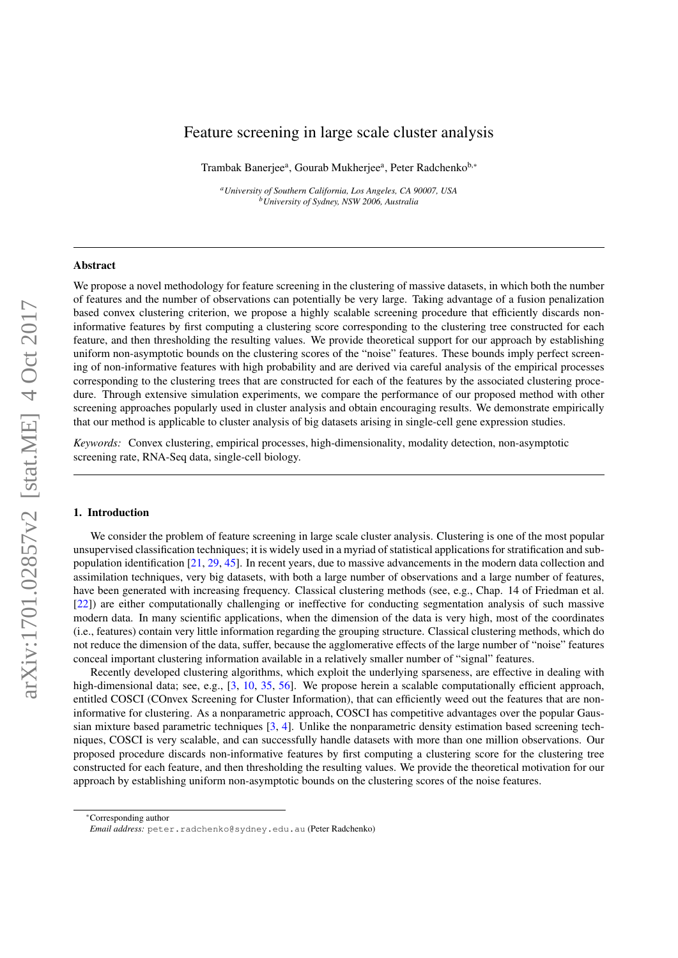# Feature screening in large scale cluster analysis

Trambak Banerjee<sup>a</sup>, Gourab Mukherjee<sup>a</sup>, Peter Radchenko<sup>b,</sup>\*

*<sup>a</sup>University of Southern California, Los Angeles, CA 90007, USA <sup>b</sup>University of Sydney, NSW 2006, Australia*

### Abstract

We propose a novel methodology for feature screening in the clustering of massive datasets, in which both the number of features and the number of observations can potentially be very large. Taking advantage of a fusion penalization based convex clustering criterion, we propose a highly scalable screening procedure that efficiently discards noninformative features by first computing a clustering score corresponding to the clustering tree constructed for each feature, and then thresholding the resulting values. We provide theoretical support for our approach by establishing uniform non-asymptotic bounds on the clustering scores of the "noise" features. These bounds imply perfect screening of non-informative features with high probability and are derived via careful analysis of the empirical processes corresponding to the clustering trees that are constructed for each of the features by the associated clustering procedure. Through extensive simulation experiments, we compare the performance of our proposed method with other screening approaches popularly used in cluster analysis and obtain encouraging results. We demonstrate empirically that our method is applicable to cluster analysis of big datasets arising in single-cell gene expression studies.

*Keywords:* Convex clustering, empirical processes, high-dimensionality, modality detection, non-asymptotic screening rate, RNA-Seq data, single-cell biology.

### <span id="page-0-0"></span>1. Introduction

We consider the problem of feature screening in large scale cluster analysis. Clustering is one of the most popular unsupervised classification techniques; it is widely used in a myriad of statistical applications for stratification and subpopulation identification [\[21,](#page-23-0) [29,](#page-23-1) [45\]](#page-23-2). In recent years, due to massive advancements in the modern data collection and assimilation techniques, very big datasets, with both a large number of observations and a large number of features, have been generated with increasing frequency. Classical clustering methods (see, e.g., Chap. 14 of Friedman et al. [\[22\]](#page-23-3)) are either computationally challenging or ineffective for conducting segmentation analysis of such massive modern data. In many scientific applications, when the dimension of the data is very high, most of the coordinates (i.e., features) contain very little information regarding the grouping structure. Classical clustering methods, which do not reduce the dimension of the data, suffer, because the agglomerative effects of the large number of "noise" features conceal important clustering information available in a relatively smaller number of "signal" features.

Recently developed clustering algorithms, which exploit the underlying sparseness, are effective in dealing with high-dimensional data; see, e.g., [\[3,](#page-21-0) [10,](#page-23-4) [35,](#page-23-5) [56\]](#page-24-0). We propose herein a scalable computationally efficient approach, entitled COSCI (COnvex Screening for Cluster Information), that can efficiently weed out the features that are noninformative for clustering. As a nonparametric approach, COSCI has competitive advantages over the popular Gaussian mixture based parametric techniques [\[3,](#page-21-0) [4\]](#page-21-1). Unlike the nonparametric density estimation based screening techniques, COSCI is very scalable, and can successfully handle datasets with more than one million observations. Our proposed procedure discards non-informative features by first computing a clustering score for the clustering tree constructed for each feature, and then thresholding the resulting values. We provide the theoretical motivation for our approach by establishing uniform non-asymptotic bounds on the clustering scores of the noise features.

<sup>∗</sup>Corresponding author

*Email address:* peter.radchenko@sydney.edu.au (Peter Radchenko)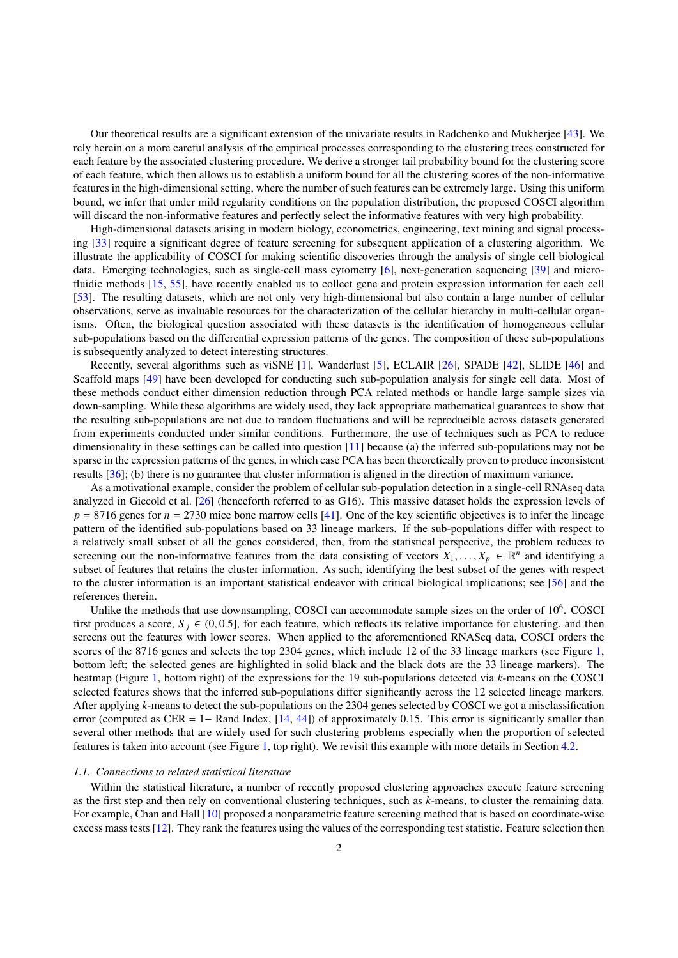Our theoretical results are a significant extension of the univariate results in Radchenko and Mukherjee [\[43\]](#page-23-6). We rely herein on a more careful analysis of the empirical processes corresponding to the clustering trees constructed for each feature by the associated clustering procedure. We derive a stronger tail probability bound for the clustering score of each feature, which then allows us to establish a uniform bound for all the clustering scores of the non-informative features in the high-dimensional setting, where the number of such features can be extremely large. Using this uniform bound, we infer that under mild regularity conditions on the population distribution, the proposed COSCI algorithm will discard the non-informative features and perfectly select the informative features with very high probability.

High-dimensional datasets arising in modern biology, econometrics, engineering, text mining and signal processing [\[33\]](#page-23-7) require a significant degree of feature screening for subsequent application of a clustering algorithm. We illustrate the applicability of COSCI for making scientific discoveries through the analysis of single cell biological data. Emerging technologies, such as single-cell mass cytometry [\[6\]](#page-21-2), next-generation sequencing [\[39\]](#page-23-8) and microfluidic methods [\[15,](#page-23-9) [55\]](#page-24-1), have recently enabled us to collect gene and protein expression information for each cell [\[53\]](#page-24-2). The resulting datasets, which are not only very high-dimensional but also contain a large number of cellular observations, serve as invaluable resources for the characterization of the cellular hierarchy in multi-cellular organisms. Often, the biological question associated with these datasets is the identification of homogeneous cellular sub-populations based on the differential expression patterns of the genes. The composition of these sub-populations is subsequently analyzed to detect interesting structures.

Recently, several algorithms such as viSNE [\[1\]](#page-21-3), Wanderlust [\[5\]](#page-21-4), ECLAIR [\[26\]](#page-23-10), SPADE [\[42\]](#page-23-11), SLIDE [\[46\]](#page-23-12) and Scaffold maps [\[49\]](#page-23-13) have been developed for conducting such sub-population analysis for single cell data. Most of these methods conduct either dimension reduction through PCA related methods or handle large sample sizes via down-sampling. While these algorithms are widely used, they lack appropriate mathematical guarantees to show that the resulting sub-populations are not due to random fluctuations and will be reproducible across datasets generated from experiments conducted under similar conditions. Furthermore, the use of techniques such as PCA to reduce dimensionality in these settings can be called into question [\[11\]](#page-23-14) because (a) the inferred sub-populations may not be sparse in the expression patterns of the genes, in which case PCA has been theoretically proven to produce inconsistent results [\[36\]](#page-23-15); (b) there is no guarantee that cluster information is aligned in the direction of maximum variance.

As a motivational example, consider the problem of cellular sub-population detection in a single-cell RNAseq data analyzed in Giecold et al. [\[26\]](#page-23-10) (henceforth referred to as G16). This massive dataset holds the expression levels of  $p = 8716$  genes for  $n = 2730$  mice bone marrow cells [\[41\]](#page-23-16). One of the key scientific objectives is to infer the lineage pattern of the identified sub-populations based on 33 lineage markers. If the sub-populations differ with respect to a relatively small subset of all the genes considered, then, from the statistical perspective, the problem reduces to screening out the non-informative features from the data consisting of vectors  $X_1, \ldots, X_p \in \mathbb{R}^n$  and identifying a subset of features that retains the cluster information. As such identifying the best subset of the g subset of features that retains the cluster information. As such, identifying the best subset of the genes with respect to the cluster information is an important statistical endeavor with critical biological implications; see [\[56\]](#page-24-0) and the references therein.

Unlike the methods that use downsampling, COSCI can accommodate sample sizes on the order of 10<sup>6</sup>. COSCI first produces a score,  $S_i \in (0, 0.5]$ , for each feature, which reflects its relative importance for clustering, and then screens out the features with lower scores. When applied to the aforementioned RNASeq data, COSCI orders the scores of the 8716 genes and selects the top 2304 genes, which include 12 of the 33 lineage markers (see Figure [1,](#page-2-0) bottom left; the selected genes are highlighted in solid black and the black dots are the 33 lineage markers). The heatmap (Figure [1,](#page-2-0) bottom right) of the expressions for the 19 sub-populations detected via *k*-means on the COSCI selected features shows that the inferred sub-populations differ significantly across the 12 selected lineage markers. After applying *k*-means to detect the sub-populations on the 2304 genes selected by COSCI we got a misclassification error (computed as CER = 1– Rand Index,  $[14, 44]$  $[14, 44]$  $[14, 44]$ ) of approximately 0.15. This error is significantly smaller than several other methods that are widely used for such clustering problems especially when the proportion of selected features is taken into account (see Figure [1,](#page-2-0) top right). We revisit this example with more details in Section [4.2.](#page-10-0)

#### *1.1. Connections to related statistical literature*

Within the statistical literature, a number of recently proposed clustering approaches execute feature screening as the first step and then rely on conventional clustering techniques, such as *k*-means, to cluster the remaining data. For example, Chan and Hall [\[10\]](#page-23-4) proposed a nonparametric feature screening method that is based on coordinate-wise excess masstests [\[12\]](#page-23-19). They rank the features using the values of the corresponding test statistic. Feature selection then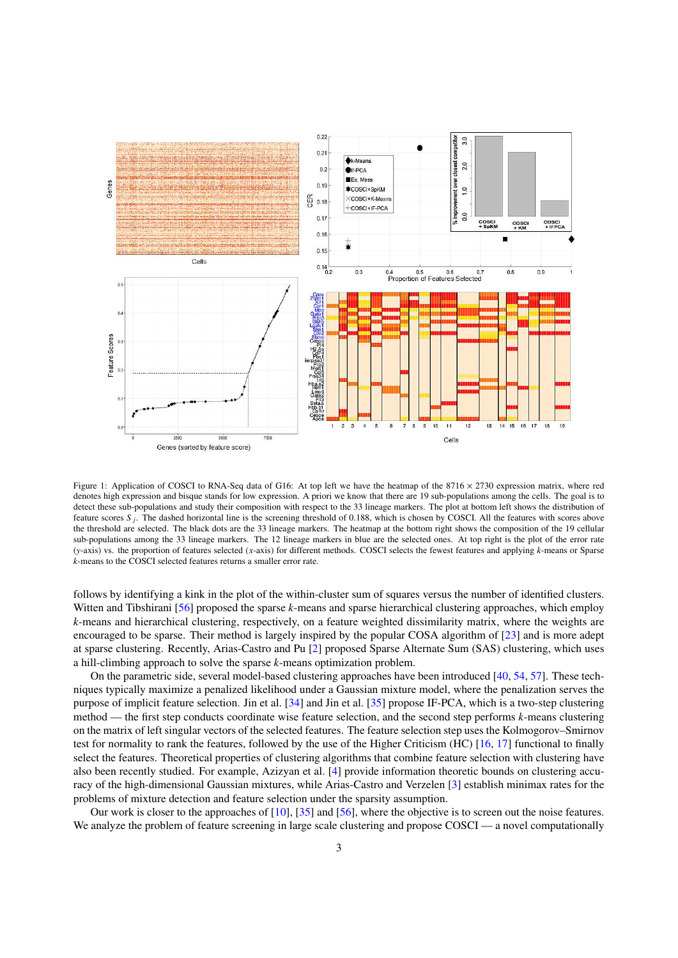

<span id="page-2-0"></span>Figure 1: Application of COSCI to RNA-Seq data of G16: At top left we have the heatmap of the  $8716 \times 2730$  expression matrix, where red denotes high expression and bisque stands for low expression. A priori we know that there are 19 sub-populations among the cells. The goal is to detect these sub-populations and study their composition with respect to the 33 lineage markers. The plot at bottom left shows the distribution of feature scores  $S_j$ . The dashed horizontal line is the screening threshold of 0.188, which is chosen by COSCI. All the features with scores above<br>the threshold are selected. The black dots are the 33 lineage markers. The the threshold are selected. The black dots are the 33 lineage markers. The heatmap at the bottom right shows the composition of the 19 cellular sub-populations among the 33 lineage markers. The 12 lineage markers in blue are the selected ones. At top right is the plot of the error rate (*y*-axis) vs. the proportion of features selected (*x*-axis) for different methods. COSCI selects the fewest features and applying *k*-means or Sparse *k*-means to the COSCI selected features returns a smaller error rate.

follows by identifying a kink in the plot of the within-cluster sum of squares versus the number of identified clusters. Witten and Tibshirani [\[56\]](#page-24-0) proposed the sparse *k*-means and sparse hierarchical clustering approaches, which employ *k*-means and hierarchical clustering, respectively, on a feature weighted dissimilarity matrix, where the weights are encouraged to be sparse. Their method is largely inspired by the popular COSA algorithm of [\[23\]](#page-23-20) and is more adept at sparse clustering. Recently, Arias-Castro and Pu [\[2\]](#page-21-5) proposed Sparse Alternate Sum (SAS) clustering, which uses a hill-climbing approach to solve the sparse *k*-means optimization problem.

On the parametric side, several model-based clustering approaches have been introduced [\[40,](#page-23-21) [54,](#page-24-3) [57\]](#page-24-4). These techniques typically maximize a penalized likelihood under a Gaussian mixture model, where the penalization serves the purpose of implicit feature selection. Jin et al. [\[34\]](#page-23-22) and Jin et al. [\[35\]](#page-23-5) propose IF-PCA, which is a two-step clustering method — the first step conducts coordinate wise feature selection, and the second step performs *k*-means clustering on the matrix of left singular vectors of the selected features. The feature selection step uses the Kolmogorov–Smirnov test for normality to rank the features, followed by the use of the Higher Criticism (HC) [\[16,](#page-23-23) [17\]](#page-23-24) functional to finally select the features. Theoretical properties of clustering algorithms that combine feature selection with clustering have also been recently studied. For example, Azizyan et al. [\[4\]](#page-21-1) provide information theoretic bounds on clustering accuracy of the high-dimensional Gaussian mixtures, while Arias-Castro and Verzelen [\[3\]](#page-21-0) establish minimax rates for the problems of mixture detection and feature selection under the sparsity assumption.

Our work is closer to the approaches of [\[10\]](#page-23-4), [\[35\]](#page-23-5) and [\[56\]](#page-24-0), where the objective is to screen out the noise features. We analyze the problem of feature screening in large scale clustering and propose COSCI — a novel computationally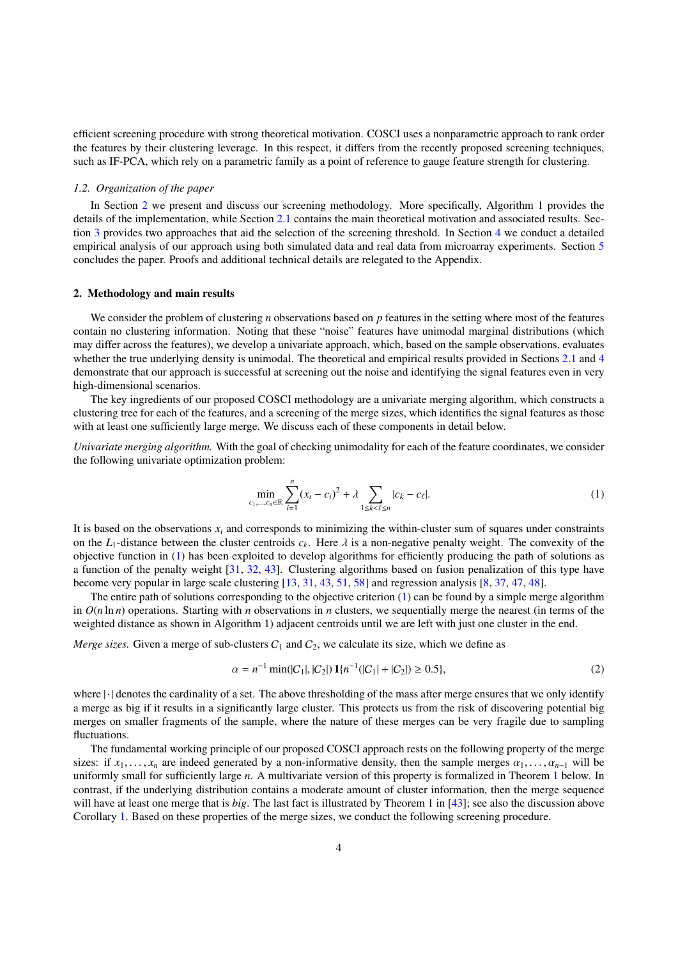efficient screening procedure with strong theoretical motivation. COSCI uses a nonparametric approach to rank order the features by their clustering leverage. In this respect, it differs from the recently proposed screening techniques, such as IF-PCA, which rely on a parametric family as a point of reference to gauge feature strength for clustering.

### *1.2. Organization of the paper*

In Section [2](#page-3-0) we present and discuss our screening methodology. More specifically, Algorithm 1 provides the details of the implementation, while Section [2.1](#page-4-0) contains the main theoretical motivation and associated results. Section [3](#page-5-0) provides two approaches that aid the selection of the screening threshold. In Section [4](#page-6-0) we conduct a detailed empirical analysis of our approach using both simulated data and real data from microarray experiments. Section [5](#page-12-0) concludes the paper. Proofs and additional technical details are relegated to the Appendix.

# <span id="page-3-0"></span>2. Methodology and main results

We consider the problem of clustering *n* observations based on *p* features in the setting where most of the features contain no clustering information. Noting that these "noise" features have unimodal marginal distributions (which may differ across the features), we develop a univariate approach, which, based on the sample observations, evaluates whether the true underlying density is unimodal. The theoretical and empirical results provided in Sections [2.1](#page-4-0) and [4](#page-6-0) demonstrate that our approach is successful at screening out the noise and identifying the signal features even in very high-dimensional scenarios.

The key ingredients of our proposed COSCI methodology are a univariate merging algorithm, which constructs a clustering tree for each of the features, and a screening of the merge sizes, which identifies the signal features as those with at least one sufficiently large merge. We discuss each of these components in detail below.

*Univariate merging algorithm.* With the goal of checking unimodality for each of the feature coordinates, we consider the following univariate optimization problem:

<span id="page-3-1"></span>
$$
\min_{c_1, ..., c_n \in \mathbb{R}} \sum_{i=1}^n (x_i - c_i)^2 + \lambda \sum_{1 \le k < \ell \le n} |c_k - c_\ell|.\tag{1}
$$

It is based on the observations  $x_i$  and corresponds to minimizing the within-cluster sum of squares under constraints on the *L*<sub>1</sub>-distance between the cluster centroids  $c_k$ . Here  $\lambda$  is a non-negative penalty weight. The convexity of the objective function in [\(1\)](#page-3-1) has been exploited to develop algorithms for efficiently producing the path of solutions as a function of the penalty weight [\[31,](#page-23-25) [32,](#page-23-26) [43\]](#page-23-6). Clustering algorithms based on fusion penalization of this type have become very popular in large scale clustering [\[13,](#page-23-27) [31,](#page-23-25) [43,](#page-23-6) [51,](#page-23-28) [58\]](#page-24-5) and regression analysis [\[8,](#page-23-29) [37,](#page-23-30) [47,](#page-23-31) [48\]](#page-23-32).

The entire path of solutions corresponding to the objective criterion [\(1\)](#page-3-1) can be found by a simple merge algorithm in  $O(n \ln n)$  operations. Starting with *n* observations in *n* clusters, we sequentially merge the nearest (in terms of the weighted distance as shown in Algorithm 1) adjacent centroids until we are left with just one cluster in the end.

*Merge sizes.* Given a merge of sub-clusters  $C_1$  and  $C_2$ , we calculate its size, which we define as

<span id="page-3-2"></span>
$$
\alpha = n^{-1} \min(|C_1|, |C_2|) \mathbf{1} \{ n^{-1}(|C_1| + |C_2|) \ge 0.5 \},\tag{2}
$$

where |· | denotes the cardinality of a set. The above thresholding of the mass after merge ensures that we only identify a merge as big if it results in a significantly large cluster. This protects us from the risk of discovering potential big merges on smaller fragments of the sample, where the nature of these merges can be very fragile due to sampling fluctuations.

The fundamental working principle of our proposed COSCI approach rests on the following property of the merge sizes: if  $x_1, \ldots, x_n$  are indeed generated by a non-informative density, then the sample merges  $\alpha_1, \ldots, \alpha_{n-1}$  will be uniformly small for sufficiently large *n*. A multivariate version of this property is formalized in Theorem [1](#page-4-1) below. In contrast, if the underlying distribution contains a moderate amount of cluster information, then the merge sequence will have at least one merge that is *big*. The last fact is illustrated by Theorem 1 in [\[43\]](#page-23-6); see also the discussion above Corollary [1.](#page-5-1) Based on these properties of the merge sizes, we conduct the following screening procedure.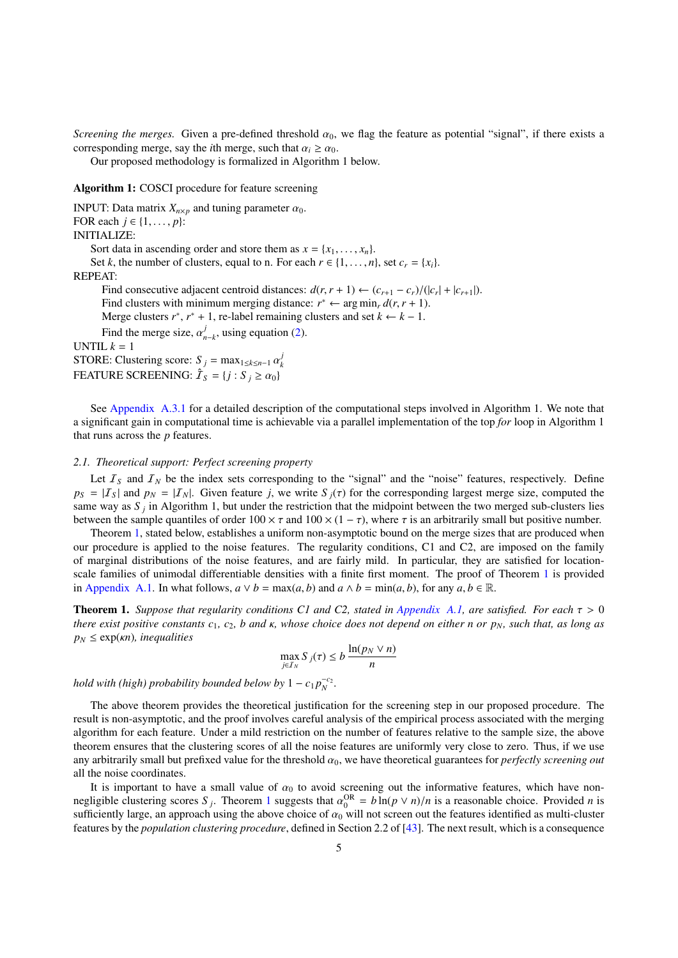*Screening the merges.* Given a pre-defined threshold  $\alpha_0$ , we flag the feature as potential "signal", if there exists a corresponding merge, say the *i*th merge, such that  $\alpha_i \ge \alpha_0$ .

Our proposed methodology is formalized in Algorithm 1 below.

# Algorithm 1: COSCI procedure for feature screening

INPUT: Data matrix  $X_{n\times p}$  and tuning parameter  $\alpha_0$ . FOR each  $j \in \{1, \ldots, p\}$ : INITIALIZE: Sort data in ascending order and store them as  $x = \{x_1, \ldots, x_n\}$ . Set *k*, the number of clusters, equal to n. For each  $r \in \{1, \ldots, n\}$ , set  $c_r = \{x_i\}$ . REPEAT: Find consecutive adjacent centroid distances:  $d(r, r + 1) \leftarrow (c_{r+1} - c_r)/(|c_r| + |c_{r+1}|)$ .<br>Find clusters with minimum merging distance:  $r^* \leftarrow$  arg min  $d(r, r + 1)$ . Find clusters with minimum merging distance:  $r^* \leftarrow \arg \min_r d(r, r + 1)$ .<br>Merge clusters  $r^* \cdot r^* + 1$ , re-label remaining clusters and set  $k \leftarrow k - 1$ . Merge clusters  $r^*$ ,  $r^* + 1$ , re-label remaining clusters and set  $k \leftarrow k - 1$ . Find the merge size,  $\alpha_{n-k}^j$ , using equation [\(2\)](#page-3-2). UNTIL  $k = 1$ STORE: Clustering score:  $S_j = \max_{1 \le k \le n-1} \alpha_k^j$ *k* FEATURE SCREENING:  $\hat{\mathcal{I}}_S = \{j : S_j \geq \alpha_0\}$ 

See [Appendix A.3.1](#page-19-0) for a detailed description of the computational steps involved in Algorithm 1. We note that a significant gain in computational time is achievable via a parallel implementation of the top *for* loop in Algorithm 1 that runs across the *p* features.

### <span id="page-4-0"></span>*2.1. Theoretical support: Perfect screening property*

Let  $I<sub>S</sub>$  and  $I<sub>N</sub>$  be the index sets corresponding to the "signal" and the "noise" features, respectively. Define  $p_S = |I_S|$  and  $p_N = |I_N|$ . Given feature *j*, we write  $S_j(\tau)$  for the corresponding largest merge size, computed the same way as  $S_j$  in Algorithm 1, but under the restriction that the midpoint between the two merged sub-clusters lies between the sample quantiles of order  $100 \times \tau$  and  $100 \times (1 - \tau)$ , where  $\tau$  is an arbitrarily small but positive number.

Theorem [1,](#page-4-1) stated below, establishes a uniform non-asymptotic bound on the merge sizes that are produced when our procedure is applied to the noise features. The regularity conditions, C1 and C2, are imposed on the family of marginal distributions of the noise features, and are fairly mild. In particular, they are satisfied for locationscale families of unimodal differentiable densities with a finite first moment. The proof of Theorem [1](#page-4-1) is provided in [Appendix A.1.](#page-12-1) In what follows,  $a \lor b = \max(a, b)$  and  $a \land b = \min(a, b)$ , for any  $a, b \in \mathbb{R}$ .

<span id="page-4-1"></span>Theorem 1. *Suppose that regularity conditions C1 and C2, stated in [Appendix A.1,](#page-12-1) are satisfied. For each* τ > <sup>0</sup> *there exist positive constants <sup>c</sup>*1*, <sup>c</sup>*2*, <sup>b</sup> and* κ*, whose choice does not depend on either <sup>n</sup> or <sup>p</sup>N, such that, as long as*  $p_N \leq \exp(\kappa n)$ *, inequalities* 

$$
\max_{j \in I_N} S_j(\tau) \le b \, \frac{\ln(p_N \vee n)}{n}
$$

*hold with (high) probability bounded below by*  $1 - c_1 p_N^{-c_2}$ *.* 

The above theorem provides the theoretical justification for the screening step in our proposed procedure. The result is non-asymptotic, and the proof involves careful analysis of the empirical process associated with the merging algorithm for each feature. Under a mild restriction on the number of features relative to the sample size, the above theorem ensures that the clustering scores of all the noise features are uniformly very close to zero. Thus, if we use any arbitrarily small but prefixed value for the threshold α<sup>0</sup>, we have theoretical guarantees for *perfectly screening out* all the noise coordinates.

It is important to have a small value of  $\alpha_0$  to avoid screening out the informative features, which have nonnegligible clustering scores  $S_j$ . Theorem [1](#page-4-1) suggests that  $\alpha_0^{OR} = b \ln(p \vee n)/n$  is a reasonable choice. Provided *n* is<br>sufficiently large, an approach using the above choice of  $\alpha_0$  will not screen out the features ide sufficiently large, an approach using the above choice of  $\alpha_0$  will not screen out the features identified as multi-cluster features by the *population clustering procedure*, defined in Section 2.2 of [\[43\]](#page-23-6). The next result, which is a consequence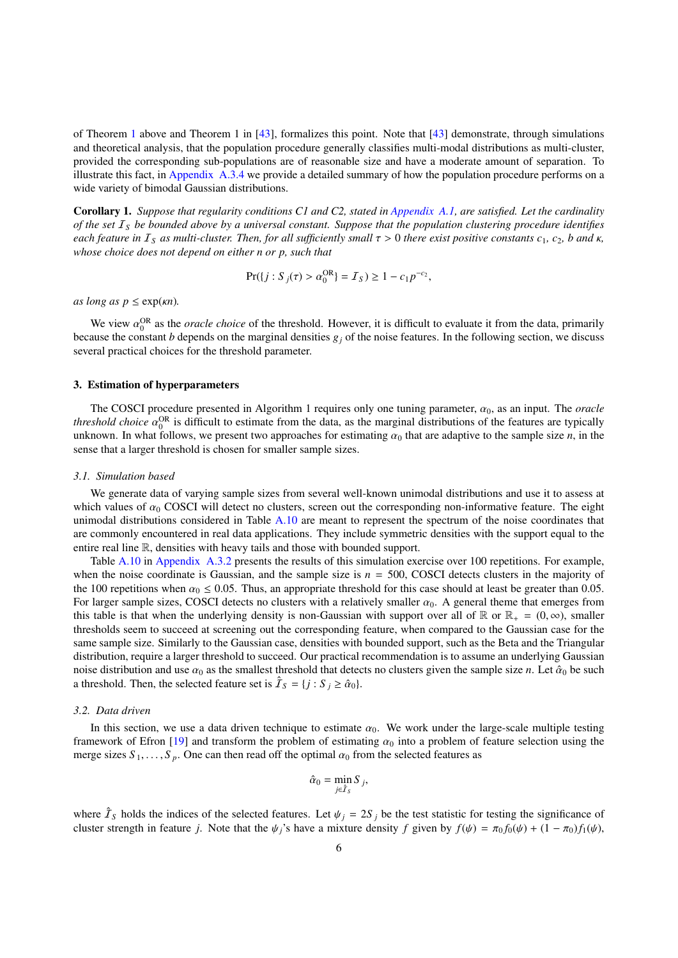of Theorem [1](#page-4-1) above and Theorem 1 in [\[43\]](#page-23-6), formalizes this point. Note that [\[43\]](#page-23-6) demonstrate, through simulations and theoretical analysis, that the population procedure generally classifies multi-modal distributions as multi-cluster, provided the corresponding sub-populations are of reasonable size and have a moderate amount of separation. To illustrate this fact, in [Appendix A.3.4](#page-21-6) we provide a detailed summary of how the population procedure performs on a wide variety of bimodal Gaussian distributions.

<span id="page-5-1"></span>Corollary 1. *Suppose that regularity conditions C1 and C2, stated in [Appendix A.1,](#page-12-1) are satisfied. Let the cardinality of the set* I*<sup>S</sup> be bounded above by a universal constant. Suppose that the population clustering procedure identifies each feature in*  $I_s$  *as multi-cluster. Then, for all sufficiently small*  $\tau > 0$  *there exist positive constants*  $c_1$ ,  $c_2$ , *b and*  $\kappa$ , *whose choice does not depend on either n or p, such that*

$$
Pr({j : Sj(\tau) > \alpha_0^{OR}} = \mathcal{I}_S) \ge 1 - c_1 p^{-c_2},
$$

*as long as*  $p \leq \exp(\kappa n)$ .

We view  $\alpha_0^{\text{OR}}$  as the *oracle choice* of the threshold. However, it is difficult to evaluate it from the data, primarily anset the constant *h* depends on the marginal densities  $g_0$  of the noise features. In the f because the constant *b* depends on the marginal densities  $g_j$  of the noise features. In the following section, we discuss several practical choices for the threshold parameter.

### <span id="page-5-0"></span>3. Estimation of hyperparameters

The COSCI procedure presented in Algorithm 1 requires only one tuning parameter,  $\alpha_0$ , as an input. The *oracle threshold choice*  $\alpha_0^{OR}$  is difficult to estimate from the data, as the marginal distributions of the features are typically unknown. In what follows, we present two approaches for estimating  $\alpha_0$  that are adaptive unknown. In what follows, we present two approaches for estimating  $\alpha_0$  that are adaptive to the sample size *n*, in the sense that a larger threshold is chosen for smaller sample sizes.

#### *3.1. Simulation based*

We generate data of varying sample sizes from several well-known unimodal distributions and use it to assess at which values of  $\alpha_0$  COSCI will detect no clusters, screen out the corresponding non-informative feature. The eight unimodal distributions considered in Table [A.10](#page-20-0) are meant to represent the spectrum of the noise coordinates that are commonly encountered in real data applications. They include symmetric densities with the support equal to the entire real line R, densities with heavy tails and those with bounded support.

Table [A.10](#page-20-0) in [Appendix A.3.2](#page-20-1) presents the results of this simulation exercise over 100 repetitions. For example, when the noise coordinate is Gaussian, and the sample size is  $n = 500$ , COSCI detects clusters in the majority of the 100 repetitions when  $\alpha_0 \le 0.05$ . Thus, an appropriate threshold for this case should at least be greater than 0.05. For larger sample sizes, COSCI detects no clusters with a relatively smaller  $\alpha_0$ . A general theme that emerges from this table is that when the underlying density is non-Gaussian with support over all of R or  $\mathbb{R}_+ = (0, \infty)$ , smaller thresholds seem to succeed at screening out the corresponding feature, when compared to the Gaussian case for the same sample size. Similarly to the Gaussian case, densities with bounded support, such as the Beta and the Triangular distribution, require a larger threshold to succeed. Our practical recommendation is to assume an underlying Gaussian noise distribution and use  $\alpha_0$  as the smallest threshold that detects no clusters given the sample size *n*. Let  $\hat{\alpha}_0$  be such a threshold. Then, the selected feature set is  $\hat{\mathcal{I}}_S = \{j : S_j \ge \hat{\alpha}_0\}.$ 

### <span id="page-5-2"></span>*3.2. Data driven*

In this section, we use a data driven technique to estimate  $\alpha_0$ . We work under the large-scale multiple testing framework of Efron [\[19\]](#page-23-33) and transform the problem of estimating  $\alpha_0$  into a problem of feature selection using the merge sizes  $S_1, \ldots, S_p$ . One can then read off the optimal  $\alpha_0$  from the selected features as

$$
\hat{\alpha}_0 = \min_{j \in \hat{\mathcal{I}}_S} S_j,
$$

where  $\hat{\mathcal{I}}_S$  holds the indices of the selected features. Let  $\psi_j = 2S_j$  be the test statistic for testing the significance of cluster strength in feature *i*. Note that the *dc* is have a mixture density f given by cluster strength in feature *j*. Note that the  $\psi_j$ 's have a mixture density *f* given by  $f(\psi) = \pi_0 f_0(\psi) + (1 - \pi_0) f_1(\psi)$ ,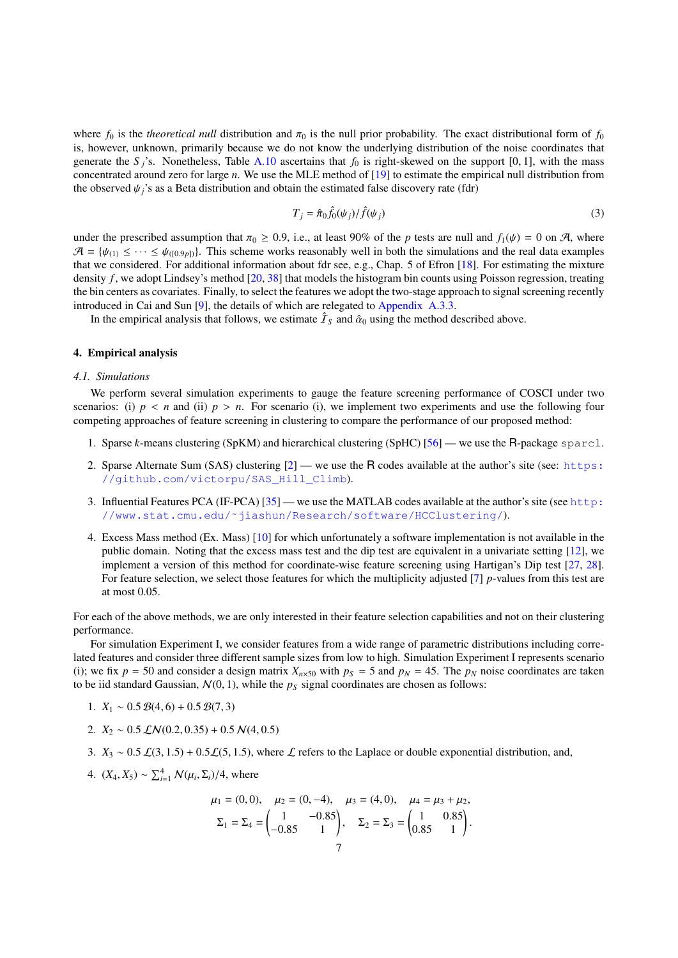where  $f_0$  is the *theoretical null* distribution and  $\pi_0$  is the null prior probability. The exact distributional form of  $f_0$ is, however, unknown, primarily because we do not know the underlying distribution of the noise coordinates that generate the *S* <sup>*j*</sup>s. Nonetheless, Table [A.10](#page-20-0) ascertains that  $f_0$  is right-skewed on the support [0, 1], with the mass concentrated around zero for large *n*. We use the MLE method of [\[19\]](#page-23-33) to estimate the empirical null distribution from the observed  $\psi_i$ 's as a Beta distribution and obtain the estimated false discovery rate (fdr)

<span id="page-6-2"></span>
$$
T_j = \hat{\pi}_0 \hat{f}_0(\psi_j) / \hat{f}(\psi_j)
$$
\n(3)

under the prescribed assumption that  $\pi_0 \ge 0.9$ , i.e., at least 90% of the *p* tests are null and  $f_1(\psi) = 0$  on A, where  $\mathcal{A} = \{\psi_{(1)} \leq \cdots \leq \psi_{(0.9p)}\}.$  This scheme works reasonably well in both the simulations and the real data examples that we considered. For additional information about fdr see, e.g., Chap. 5 of Efron [\[18\]](#page-23-34). For estimating the mixture density *f*, we adopt Lindsey's method [\[20,](#page-23-35) [38\]](#page-23-36) that models the histogram bin counts using Poisson regression, treating the bin centers as covariates. Finally, to select the features we adopt the two-stage approach to signal screening recently introduced in Cai and Sun [\[9\]](#page-23-37), the details of which are relegated to [Appendix A.3.3.](#page-20-2)

In the empirical analysis that follows, we estimate  $\hat{\mathcal{I}}_S$  and  $\hat{\alpha}_0$  using the method described above.

### <span id="page-6-0"></span>4. Empirical analysis

#### <span id="page-6-1"></span>*4.1. Simulations*

We perform several simulation experiments to gauge the feature screening performance of COSCI under two scenarios: (i)  $p \lt n$  and (ii)  $p > n$ . For scenario (i), we implement two experiments and use the following four competing approaches of feature screening in clustering to compare the performance of our proposed method:

- 1. Sparse *k*-means clustering (SpKM) and hierarchical clustering (SpHC) [\[56\]](#page-24-0) we use the R-package sparcl.
- 2. Sparse Alternate Sum (SAS) clustering  $[2]$  we use the R codes available at the author's site (see: [https:](https://github.com/victorpu/SAS_Hill_Climb) [//github.com/victorpu/SAS\\_Hill\\_Climb](https://github.com/victorpu/SAS_Hill_Climb)).
- 3. Influential Features PCA (IF-PCA) [\[35\]](#page-23-5) we use the MATLAB codes available at the author's site (see [http:](http://www.stat.cmu.edu/~jiashun/Research/software/HCClustering/) [//www.stat.cmu.edu/˜jiashun/Research/software/HCClustering/](http://www.stat.cmu.edu/~jiashun/Research/software/HCClustering/)).
- 4. Excess Mass method (Ex. Mass) [\[10\]](#page-23-4) for which unfortunately a software implementation is not available in the public domain. Noting that the excess mass test and the dip test are equivalent in a univariate setting [\[12\]](#page-23-19), we implement a version of this method for coordinate-wise feature screening using Hartigan's Dip test [\[27,](#page-23-38) [28\]](#page-23-39). For feature selection, we select those features for which the multiplicity adjusted [\[7\]](#page-23-40) *p*-values from this test are at most 0.05.

For each of the above methods, we are only interested in their feature selection capabilities and not on their clustering performance.

For simulation Experiment I, we consider features from a wide range of parametric distributions including correlated features and consider three different sample sizes from low to high. Simulation Experiment I represents scenario (i); we fix  $p = 50$  and consider a design matrix  $X_{n \times 50}$  with  $p_S = 5$  and  $p_N = 45$ . The  $p_N$  noise coordinates are taken to be iid standard Gaussian,  $N(0, 1)$ , while the  $p<sub>S</sub>$  signal coordinates are chosen as follows:

- 1.  $X_1 \sim 0.5 \mathcal{B}(4,6) + 0.5 \mathcal{B}(7,3)$
- 2.  $X_2 \sim 0.5 \, \mathcal{LN}(0.2, 0.35) + 0.5 \, \mathcal{N}(4, 0.5)$
- 3.  $X_3 \sim 0.5 \mathcal{L}(3, 1.5) + 0.5 \mathcal{L}(5, 1.5)$ , where  $\mathcal{L}$  refers to the Laplace or double exponential distribution, and,
- 4. (*X*<sub>4</sub>, *X*<sub>5</sub>) ∼  $\sum_{i=1}^{4} N(\mu_i, \Sigma_i) / 4$ , where

$$
\mu_1 = (0, 0), \quad \mu_2 = (0, -4), \quad \mu_3 = (4, 0), \quad \mu_4 = \mu_3 + \mu_2,
$$

$$
\Sigma_1 = \Sigma_4 = \begin{pmatrix} 1 & -0.85 \\ -0.85 & 1 \end{pmatrix}, \quad \Sigma_2 = \Sigma_3 = \begin{pmatrix} 1 & 0.85 \\ 0.85 & 1 \end{pmatrix}.
$$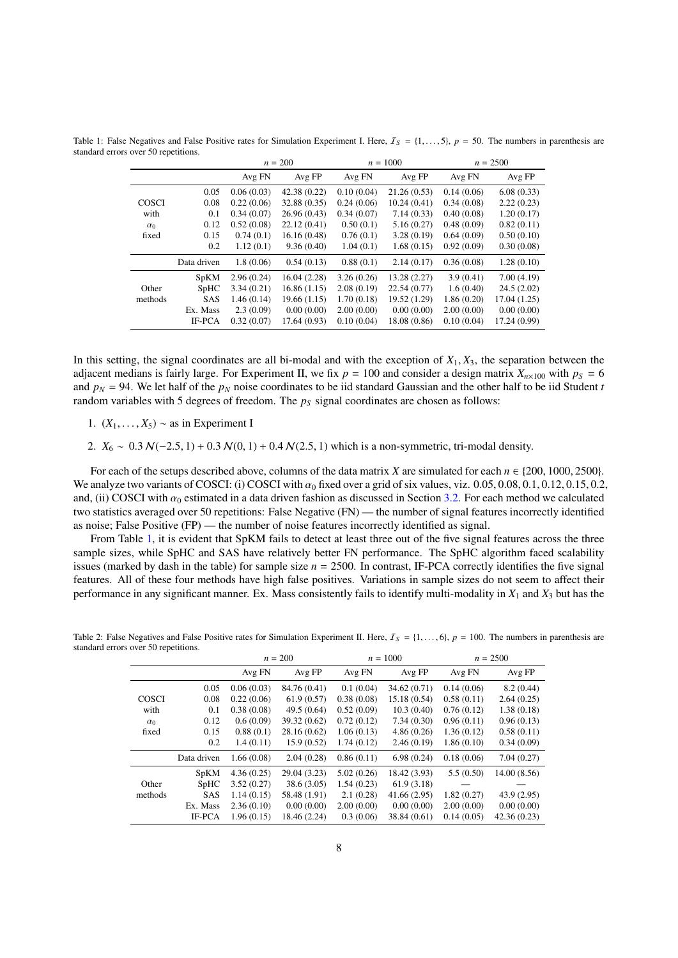<span id="page-7-0"></span>Table 1: False Negatives and False Positive rates for Simulation Experiment I. Here,  $I_s = \{1, \ldots, 5\}$ ,  $p = 50$ . The numbers in parenthesis are standard errors over 50 repetitions.

|              |             |            | $n = 200$    |            | $n = 1000$   |            | $n = 2500$   |
|--------------|-------------|------------|--------------|------------|--------------|------------|--------------|
|              |             | Avg FN     | Avg FP       | Avg FN     | Avg FP       | Avg FN     | Avg FP       |
|              | 0.05        | 0.06(0.03) | 42.38 (0.22) | 0.10(0.04) | 21.26(0.53)  | 0.14(0.06) | 6.08(0.33)   |
| <b>COSCI</b> | 0.08        | 0.22(0.06) | 32.88 (0.35) | 0.24(0.06) | 10.24(0.41)  | 0.34(0.08) | 2.22(0.23)   |
| with         | 0.1         | 0.34(0.07) | 26.96(0.43)  | 0.34(0.07) | 7.14(0.33)   | 0.40(0.08) | 1.20(0.17)   |
| $\alpha_0$   | 0.12        | 0.52(0.08) | 22.12(0.41)  | 0.50(0.1)  | 5.16(0.27)   | 0.48(0.09) | 0.82(0.11)   |
| fixed        | 0.15        | 0.74(0.1)  | 16.16(0.48)  | 0.76(0.1)  | 3.28(0.19)   | 0.64(0.09) | 0.50(0.10)   |
|              | 0.2         | 1.12(0.1)  | 9.36(0.40)   | 1.04(0.1)  | 1.68(0.15)   | 0.92(0.09) | 0.30(0.08)   |
|              | Data driven | 1.8(0.06)  | 0.54(0.13)   | 0.88(0.1)  | 2.14(0.17)   | 0.36(0.08) | 1.28(0.10)   |
|              | <b>SpKM</b> | 2.96(0.24) | 16.04 (2.28) | 3.26(0.26) | 13.28 (2.27) | 3.9(0.41)  | 7.00(4.19)   |
| Other        | <b>SpHC</b> | 3.34(0.21) | 16.86(1.15)  | 2.08(0.19) | 22.54(0.77)  | 1.6(0.40)  | 24.5(2.02)   |
| methods      | <b>SAS</b>  | 1.46(0.14) | 19.66(1.15)  | 1.70(0.18) | 19.52 (1.29) | 1.86(0.20) | 17.04 (1.25) |
|              | Ex. Mass    | 2.3(0.09)  | 0.00(0.00)   | 2.00(0.00) | 0.00(0.00)   | 2.00(0.00) | 0.00(0.00)   |
|              | IF-PCA      | 0.32(0.07) | 17.64(0.93)  | 0.10(0.04) | 18.08 (0.86) | 0.10(0.04) | 17.24 (0.99) |

In this setting, the signal coordinates are all bi-modal and with the exception of  $X_1, X_3$ , the separation between the adjacent medians is fairly large. For Experiment II, we fix  $p = 100$  and consider a design matrix  $X_{n \times 100}$  with  $p_s = 6$ and  $p_N = 94$ . We let half of the  $p_N$  noise coordinates to be iid standard Gaussian and the other half to be iid Student *t* random variables with 5 degrees of freedom. The *p<sup>S</sup>* signal coordinates are chosen as follows:

1.  $(X_1, \ldots, X_5) \sim$  as in Experiment I

2. *X*<sub>6</sub> ∼ 0.3 *N*(−2.5, 1) + 0.3 *N*(0, 1) + 0.4 *N*(2.5, 1) which is a non-symmetric, tri-modal density.

For each of the setups described above, columns of the data matrix *X* are simulated for each  $n \in \{200, 1000, 2500\}$ . We analyze two variants of COSCI: (i) COSCI with  $\alpha_0$  fixed over a grid of six values, viz. 0.05, 0.08, 0.1, 0.12, 0.15, 0.2, and, (ii) COSCI with  $\alpha_0$  estimated in a data driven fashion as discussed in Section [3.2.](#page-5-2) For each method we calculated two statistics averaged over 50 repetitions: False Negative (FN) — the number of signal features incorrectly identified as noise; False Positive (FP) — the number of noise features incorrectly identified as signal.

From Table [1,](#page-7-0) it is evident that SpKM fails to detect at least three out of the five signal features across the three sample sizes, while SpHC and SAS have relatively better FN performance. The SpHC algorithm faced scalability issues (marked by dash in the table) for sample size  $n = 2500$ . In contrast, IF-PCA correctly identifies the five signal features. All of these four methods have high false positives. Variations in sample sizes do not seem to affect their performance in any significant manner. Ex. Mass consistently fails to identify multi-modality in *X*<sup>1</sup> and *X*<sup>3</sup> but has the

| л.           |             |            | $n = 200$    |            | $n = 1000$   | $n = 2500$ |             |  |
|--------------|-------------|------------|--------------|------------|--------------|------------|-------------|--|
|              |             | Avg FN     | Avg FP       | Avg FN     | Avg FP       | Avg FN     | Avg FP      |  |
|              | 0.05        | 0.06(0.03) | 84.76 (0.41) | 0.1(0.04)  | 34.62(0.71)  | 0.14(0.06) | 8.2(0.44)   |  |
| <b>COSCI</b> | 0.08        | 0.22(0.06) | 61.9(0.57)   | 0.38(0.08) | 15.18 (0.54) | 0.58(0.11) | 2.64(0.25)  |  |
| with         | 0.1         | 0.38(0.08) | 49.5(0.64)   | 0.52(0.09) | 10.3(0.40)   | 0.76(0.12) | 1.38(0.18)  |  |
| $\alpha_0$   | 0.12        | 0.6(0.09)  | 39.32 (0.62) | 0.72(0.12) | 7.34(0.30)   | 0.96(0.11) | 0.96(0.13)  |  |
| fixed        | 0.15        | 0.88(0.1)  | 28.16 (0.62) | 1.06(0.13) | 4.86(0.26)   | 1.36(0.12) | 0.58(0.11)  |  |
|              | 0.2         | 1.4(0.11)  | 15.9(0.52)   | 1.74(0.12) | 2.46(0.19)   | 1.86(0.10) | 0.34(0.09)  |  |
|              | Data driven | 1.66(0.08) | 2.04(0.28)   | 0.86(0.11) | 6.98(0.24)   | 0.18(0.06) | 7.04(0.27)  |  |
|              | <b>SpKM</b> | 4.36(0.25) | 29.04 (3.23) | 5.02(0.26) | 18.42 (3.93) | 5.5(0.50)  | 14.00(8.56) |  |
| Other        | <b>SpHC</b> | 3.52(0.27) | 38.6(3.05)   | 1.54(0.23) | 61.9(3.18)   |            |             |  |
| methods      | <b>SAS</b>  | 1.14(0.15) | 58.48 (1.91) | 2.1(0.28)  | 41.66 (2.95) | 1.82(0.27) | 43.9(2.95)  |  |
|              | Ex. Mass    | 2.36(0.10) | 0.00(0.00)   | 2.00(0.00) | 0.00(0.00)   | 2.00(0.00) | 0.00(0.00)  |  |
|              | IF-PCA      | 1.96(0.15) | 18.46 (2.24) | 0.3(0.06)  | 38.84 (0.61) | 0.14(0.05) | 42.36(0.23) |  |

<span id="page-7-1"></span>Table 2: False Negatives and False Positive rates for Simulation Experiment II. Here,  $I_s = \{1, \ldots, 6\}$ ,  $p = 100$ . The numbers in parenthesis are standard errors over 50 repetitions.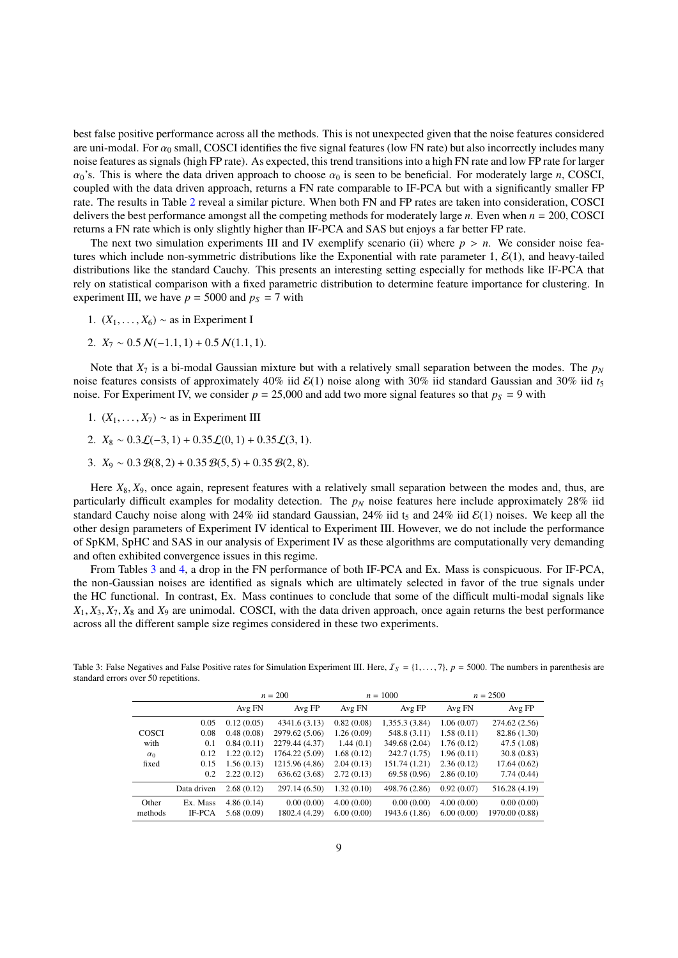best false positive performance across all the methods. This is not unexpected given that the noise features considered are uni-modal. For  $\alpha_0$  small, COSCI identifies the five signal features (low FN rate) but also incorrectly includes many noise features as signals (high FP rate). As expected, this trend transitions into a high FN rate and low FP rate for larger  $\alpha_0$ 's. This is where the data driven approach to choose  $\alpha_0$  is seen to be beneficial. For moderately large *n*, COSCI, coupled with the data driven approach, returns a FN rate comparable to IF-PCA but with a significantly smaller FP rate. The results in Table [2](#page-7-1) reveal a similar picture. When both FN and FP rates are taken into consideration, COSCI delivers the best performance amongst all the competing methods for moderately large *n*. Even when *n* = 200, COSCI returns a FN rate which is only slightly higher than IF-PCA and SAS but enjoys a far better FP rate.

The next two simulation experiments III and IV exemplify scenario (ii) where  $p > n$ . We consider noise features which include non-symmetric distributions like the Exponential with rate parameter  $1, \mathcal{E}(1)$ , and heavy-tailed distributions like the standard Cauchy. This presents an interesting setting especially for methods like IF-PCA that rely on statistical comparison with a fixed parametric distribution to determine feature importance for clustering. In experiment III, we have  $p = 5000$  and  $p<sub>S</sub> = 7$  with

- 1.  $(X_1, \ldots, X_6) \sim$  as in Experiment I
- 2.  $X_7 \sim 0.5 \, \mathcal{N}(-1.1, 1) + 0.5 \, \mathcal{N}(1.1, 1).$

Note that  $X_7$  is a bi-modal Gaussian mixture but with a relatively small separation between the modes. The  $p_N$ noise features consists of approximately 40% iid  $\mathcal{E}(1)$  noise along with 30% iid standard Gaussian and 30% iid  $t_5$ noise. For Experiment IV, we consider  $p = 25{,}000$  and add two more signal features so that  $p<sub>S</sub> = 9$  with

- 1.  $(X_1, \ldots, X_7) \sim$  as in Experiment III
- 2.  $X_8 \sim 0.3 \mathcal{L}(-3, 1) + 0.35 \mathcal{L}(0, 1) + 0.35 \mathcal{L}(3, 1)$ .
- 3.  $X_9 \sim 0.3 \mathcal{B}(8, 2) + 0.35 \mathcal{B}(5, 5) + 0.35 \mathcal{B}(2, 8)$ .

Here  $X_8$ ,  $X_9$ , once again, represent features with a relatively small separation between the modes and, thus, are particularly difficult examples for modality detection. The *p<sup>N</sup>* noise features here include approximately 28% iid standard Cauchy noise along with 24% iid standard Gaussian, 24% iid  $t_5$  and 24% iid  $\mathcal{E}(1)$  noises. We keep all the other design parameters of Experiment IV identical to Experiment III. However, we do not include the performance of SpKM, SpHC and SAS in our analysis of Experiment IV as these algorithms are computationally very demanding and often exhibited convergence issues in this regime.

From Tables [3](#page-8-0) and [4,](#page-9-0) a drop in the FN performance of both IF-PCA and Ex. Mass is conspicuous. For IF-PCA, the non-Gaussian noises are identified as signals which are ultimately selected in favor of the true signals under the HC functional. In contrast, Ex. Mass continues to conclude that some of the difficult multi-modal signals like  $X_1, X_3, X_7, X_8$  and  $X_9$  are unimodal. COSCI, with the data driven approach, once again returns the best performance across all the different sample size regimes considered in these two experiments.

 $n = 200$   $n = 1000$   $n = 2500$ Avg FN Avg FP Avg FN Avg FP Avg FN Avg FP 0.05 0.12 (0.05) 4341.6 (3.13) 0.82 (0.08) 1,355.3 (3.84) 1.06 (0.07) 274.62 (2.56) 0.08 0.48 (0.08) 2979.62 (5.06) 1.26 (0.09) 548.8 (3.11) 1.58 (0.11) 82.86 (1.30) COSCI 0.08 0.48 (0.08) 2979.62 (5.06) 1.26 (0.09) 548.8 (3.11) 1.58 (0.11) 82.86 (1.30) with 0.1 0.84 (0.11) 2279.44 (4.37) 1.44 (0.1) 349.68 (2.04) 1.76 (0.12) 47.5 (1.08)  $\alpha_0$  0.12 1.22 (0.12) 1764.22 (5.09) 1.68 (0.12) 242.7 (1.75) 1.96 (0.11) 30.8 (0.83) fixed 0.15 1.56 (0.13) 1215.96 (4.86) 2.04 (0.13) 151.74 (1.21) 2.36 (0.12) 17.64 (0.62) 0.2 2.22 (0.12) 636.62 (3.68) 2.72 (0.13) 69.58 (0.96) 2.86 (0.10) 7.74 (0.44) Data driven 2.68 (0.12) 297.14 (6.50) 1.32 (0.10) 498.76 (2.86) 0.92 (0.07) 516.28 (4.19) Other Ex. Mass 4.86 (0.14) 0.00 (0.00) 4.00 (0.00) 0.00 (0.00) 0.00 (0.00) 0.00 (0.00) methods IF-PCA 5.68 (0.09) 1802.4 (4.29) 6.00 (0.00) 1943.6 (1.86) 6.00 (0.00) 1970.00 (0.88)

<span id="page-8-0"></span>Table 3: False Negatives and False Positive rates for Simulation Experiment III. Here,  $I_s = \{1, \ldots, 7\}$ ,  $p = 5000$ . The numbers in parenthesis are standard errors over 50 repetitions.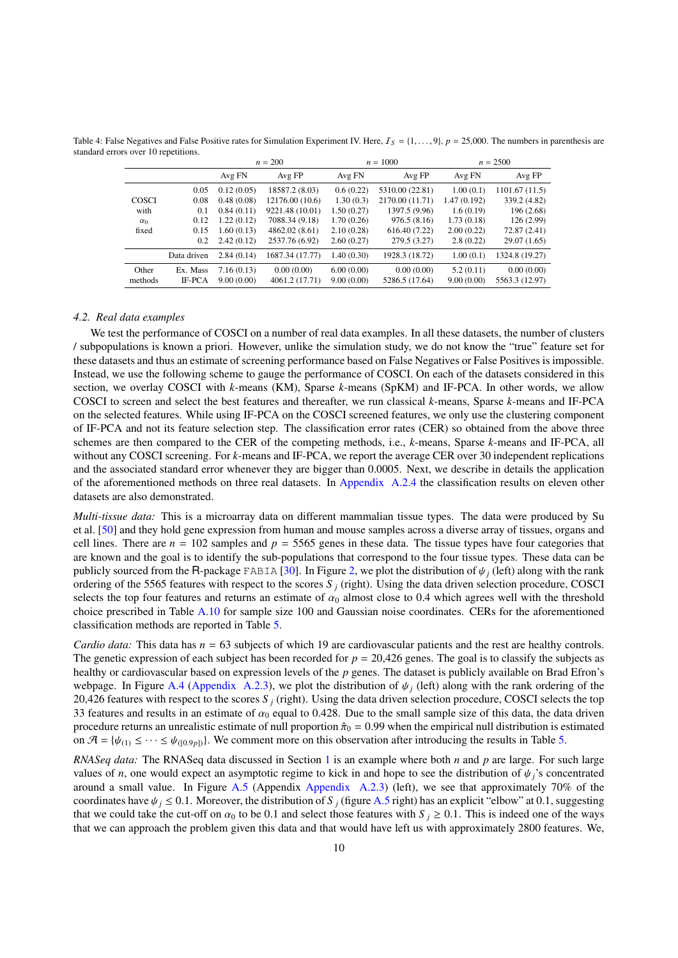<span id="page-9-0"></span>Table 4: False Negatives and False Positive rates for Simulation Experiment IV. Here,  $I_s = \{1, \ldots, 9\}$ ,  $p = 25,000$ . The numbers in parenthesis are standard errors over 10 repetitions.

|            |             |            | $n = 200$       |            | $n = 1000$      |             | $n = 2500$     |  |  |
|------------|-------------|------------|-----------------|------------|-----------------|-------------|----------------|--|--|
|            |             | Avg FN     | Avg FP          | Avg FN     | Avg FP          | Avg FN      | Avg FP         |  |  |
|            | 0.05        | 0.12(0.05) | 18587.2 (8.03)  | 0.6(0.22)  | 5310.00 (22.81) | 1.00(0.1)   | 1101.67(11.5)  |  |  |
| COSCI      | 0.08        | 0.48(0.08) | 12176.00 (10.6) | 1.30(0.3)  | 2170.00 (11.71) | 1.47(0.192) | 339.2 (4.82)   |  |  |
| with       | 0.1         | 0.84(0.11) | 9221.48 (10.01) | 1.50(0.27) | 1397.5 (9.96)   | 1.6(0.19)   | 196 (2.68)     |  |  |
| $\alpha_0$ | 0.12        | 1.22(0.12) | 7088.34 (9.18)  | 1.70(0.26) | 976.5(8.16)     | 1.73(0.18)  | 126(2.99)      |  |  |
| fixed      | 0.15        | 1.60(0.13) | 4862.02 (8.61)  | 2.10(0.28) | 616.40 (7.22)   | 2.00(0.22)  | 72.87 (2.41)   |  |  |
|            | 0.2         | 2.42(0.12) | 2537.76 (6.92)  | 2.60(0.27) | 279.5 (3.27)    | 2.8(0.22)   | 29.07 (1.65)   |  |  |
|            | Data driven | 2.84(0.14) | 1687.34 (17.77) | 1.40(0.30) | 1928.3 (18.72)  | 1.00(0.1)   | 1324.8 (19.27) |  |  |
| Other      | Ex. Mass    | 7.16(0.13) | 0.00(0.00)      | 6.00(0.00) | 0.00(0.00)      | 5.2(0.11)   | 0.00(0.00)     |  |  |
| methods    | IF-PCA      | 9.00(0.00) | 4061.2 (17.71)  | 9.00(0.00) | 5286.5 (17.64)  | 9.00(0.00)  | 5563.3 (12.97) |  |  |

### <span id="page-9-1"></span>*4.2. Real data examples*

We test the performance of COSCI on a number of real data examples. In all these datasets, the number of clusters / subpopulations is known a priori. However, unlike the simulation study, we do not know the "true" feature set for these datasets and thus an estimate of screening performance based on False Negatives or False Positives is impossible. Instead, we use the following scheme to gauge the performance of COSCI. On each of the datasets considered in this section, we overlay COSCI with *k*-means (KM), Sparse *k*-means (SpKM) and IF-PCA. In other words, we allow COSCI to screen and select the best features and thereafter, we run classical *k*-means, Sparse *k*-means and IF-PCA on the selected features. While using IF-PCA on the COSCI screened features, we only use the clustering component of IF-PCA and not its feature selection step. The classification error rates (CER) so obtained from the above three schemes are then compared to the CER of the competing methods, i.e., *k*-means, Sparse *k*-means and IF-PCA, all without any COSCI screening. For *k*-means and IF-PCA, we report the average CER over 30 independent replications and the associated standard error whenever they are bigger than <sup>0</sup>.0005. Next, we describe in details the application of the aforementioned methods on three real datasets. In [Appendix A.2.4](#page-18-0) the classification results on eleven other datasets are also demonstrated.

*Multi-tissue data:* This is a microarray data on different mammalian tissue types. The data were produced by Su et al. [\[50\]](#page-23-41) and they hold gene expression from human and mouse samples across a diverse array of tissues, organs and cell lines. There are  $n = 102$  samples and  $p = 5565$  genes in these data. The tissue types have four categories that are known and the goal is to identify the sub-populations that correspond to the four tissue types. These data can be publicly sourced from the R-package FABIA [\[30\]](#page-23-42). In Figure [2,](#page-10-0) we plot the distribution of  $\psi_i$  (left) along with the rank ordering of the 5565 features with respect to the scores *S <sup>j</sup>* (right). Using the data driven selection procedure, COSCI selects the top four features and returns an estimate of  $\alpha_0$  almost close to 0.4 which agrees well with the threshold choice prescribed in Table [A.10](#page-20-0) for sample size 100 and Gaussian noise coordinates. CERs for the aforementioned classification methods are reported in Table [5.](#page-10-1)

*Cardio data:* This data has  $n = 63$  subjects of which 19 are cardiovascular patients and the rest are healthy controls. The genetic expression of each subject has been recorded for  $p = 20,426$  genes. The goal is to classify the subjects as healthy or cardiovascular based on expression levels of the *p* genes. The dataset is publicly available on Brad Efron's webpage. In Figure [A.4](#page-17-0) [\(Appendix A.2.3\)](#page-17-1), we plot the distribution of  $\psi_i$  (left) along with the rank ordering of the 20,426 features with respect to the scores *S <sup>j</sup>* (right). Using the data driven selection procedure, COSCI selects the top 33 features and results in an estimate of  $\alpha_0$  equal to 0.428. Due to the small sample size of this data, the data driven procedure returns an unrealistic estimate of null proportion  $\hat{\pi}_0 = 0.99$  when the empirical null distribution is estimated on  $\mathcal{A} = \{\psi_{(1)} \leq \cdots \leq \psi_{((0.9p))}\}\)$ . We comment more on this observation after introducing the results in Table [5.](#page-10-1)

*RNASeq data:* The RNASeq data discussed in Section [1](#page-0-0) is an example where both *n* and *p* are large. For such large values of *n*, one would expect an asymptotic regime to kick in and hope to see the distribution of  $\psi_j$ 's concentrated around a small value. In Figure [A.5](#page-18-1) (Appendix [Appendix A.2.3\)](#page-17-1) (left), we see that approximately 70% of the coordinates have  $\psi_j \leq 0.1$ . Moreover, the distribution of *S j* (figure [A.5](#page-18-1) right) has an explicit "elbow" at 0.1, suggesting that we could take the cut-off on  $\alpha_0$  to be 0.1 and select those features with  $S_i \ge 0.1$ . This is indeed one of the ways that we can approach the problem given this data and that would have left us with approximately 2800 features. We,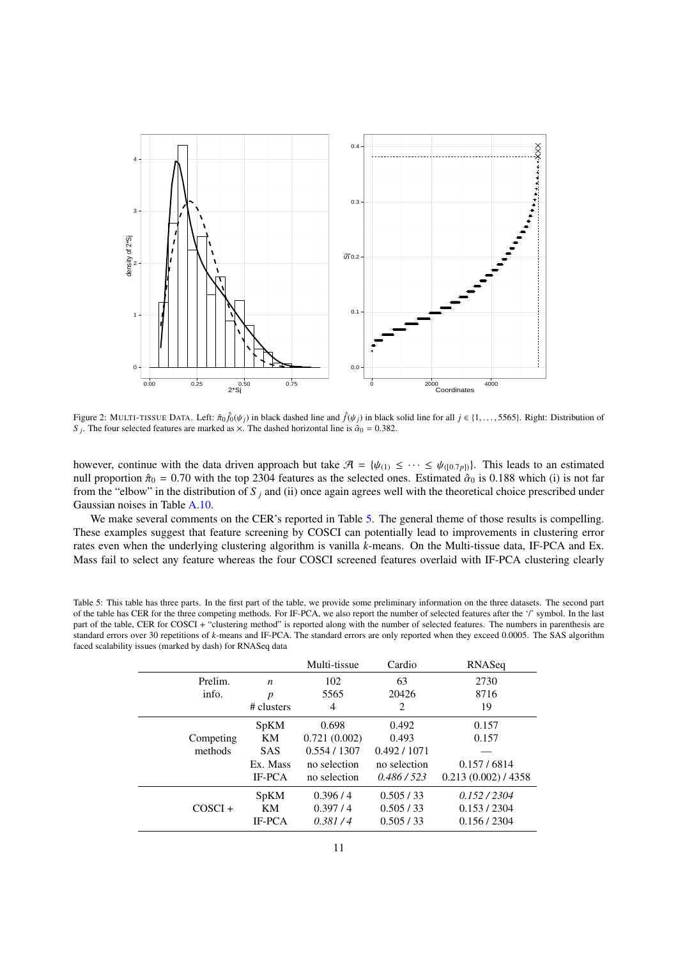

<span id="page-10-0"></span>Figure 2: MULTI-TISSUE DATA. Left:  $\hat{\pi}_0 \hat{f}_0(\psi_j)$  in black dashed line and  $\hat{f}(\psi_j)$  in black solid line for all  $j \in \{1, \ldots, 5565\}$ . Right: Distribution of  $S$ . The four selected features are marked as  $\times$  The da *S*<sub>*j*</sub>. The four selected features are marked as  $\times$ . The dashed horizontal line is  $\hat{\alpha}_0 = 0.382$ .

however, continue with the data driven approach but take  $\mathcal{A} = \{\psi_{(1)} \leq \cdots \leq \psi_{([0.7p])}\}\)$ . This leads to an estimated null proportion  $\hat{\pi}_0 = 0.70$  with the top 2304 features as the selected ones. Estimated  $\hat{\alpha}_0$  is 0.188 which (i) is not far from the "elbow" in the distribution of  $S_i$  and (ii) once again agrees well with the theoretical choice prescribed under Gaussian noises in Table [A.10.](#page-20-0)

We make several comments on the CER's reported in Table [5.](#page-10-1) The general theme of those results is compelling. These examples suggest that feature screening by COSCI can potentially lead to improvements in clustering error rates even when the underlying clustering algorithm is vanilla *k*-means. On the Multi-tissue data, IF-PCA and Ex. Mass fail to select any feature whereas the four COSCI screened features overlaid with IF-PCA clustering clearly

<span id="page-10-1"></span>Table 5: This table has three parts. In the first part of the table, we provide some preliminary information on the three datasets. The second part of the table has CER for the three competing methods. For IF-PCA, we also report the number of selected features after the '/' symbol. In the last part of the table, CER for COSCI + "clustering method" is reported along with the number of selected features. The numbers in parenthesis are standard errors over 30 repetitions of *k*-means and IF-PCA. The standard errors are only reported when they exceed 0.0005. The SAS algorithm faced scalability issues (marked by dash) for RNASeq data

|           |               | Multi-tissue | Cardio       | RNASeq            |
|-----------|---------------|--------------|--------------|-------------------|
| Prelim.   | n             | 102          | 63           | 2730              |
| info.     | p             | 5565         | 20426        | 8716              |
|           | # clusters    | 4            | 2            | 19                |
|           | <b>SpKM</b>   | 0.698        | 0.492        | 0.157             |
| Competing | KM            | 0.721(0.002) | 0.493        | 0.157             |
| methods   | <b>SAS</b>    | 0.554/1307   | 0.492 / 1071 |                   |
|           | Ex. Mass      | no selection | no selection | 0.157/6814        |
|           | <b>IF-PCA</b> | no selection | 0.486/523    | 0.213(0.002)/4358 |
|           | <b>SpKM</b>   | 0.396/4      | 0.505/33     | 0.152/2304        |
| $COSCI +$ | KM            | 0.397/4      | 0.505/33     | 0.153 / 2304      |
|           | <b>IF-PCA</b> | 0.381/4      | 0.505/33     | 0.156 / 2304      |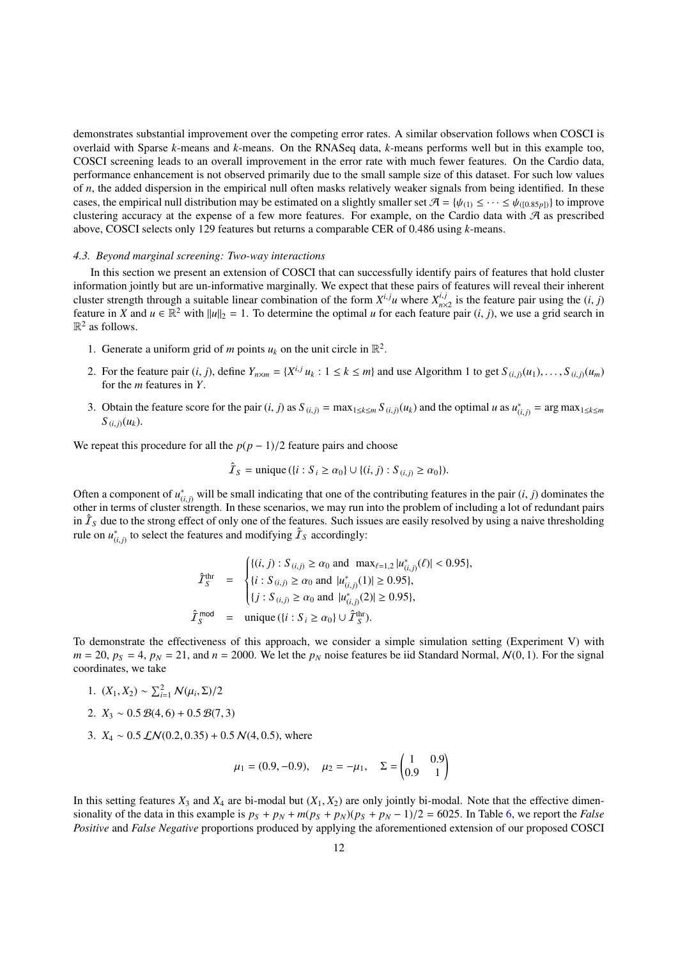demonstrates substantial improvement over the competing error rates. A similar observation follows when COSCI is overlaid with Sparse *k*-means and *k*-means. On the RNASeq data, *k*-means performs well but in this example too, COSCI screening leads to an overall improvement in the error rate with much fewer features. On the Cardio data, performance enhancement is not observed primarily due to the small sample size of this dataset. For such low values of *n*, the added dispersion in the empirical null often masks relatively weaker signals from being identified. In these cases, the empirical null distribution may be estimated on a slightly smaller set  $\mathcal{A} = \{\psi_{(1)} \leq \cdots \leq \psi_{((0.85p))}\}\$ to improve clustering accuracy at the expense of a few more features. For example, on the Cardio data with  $A$  as prescribed above, COSCI selects only 129 features but returns a comparable CER of 0.486 using *k*-means.

### <span id="page-11-0"></span>*4.3. Beyond marginal screening: Two-way interactions*

In this section we present an extension of COSCI that can successfully identify pairs of features that hold cluster information jointly but are un-informative marginally. We expect that these pairs of features will reveal their inherent cluster strength through a suitable linear combination of the form  $X^{i,j}u$  where  $X^{i,j}_{n\times 2}$  is the feature pair using the  $(i, j)$ <br>feature in *X* and  $u \in \mathbb{R}^2$  with llulls  $-1$ . To determine the optimal *u* for each feature in *X* and  $u \in \mathbb{R}^2$  with  $||u||_2 = 1$ . To determine the optimal *u* for each feature pair  $(i, j)$ , we use a grid search in  $\mathbb{R}^2$  as follows  $\mathbb{R}^2$  as follows.

- 1. Generate a uniform grid of *m* points  $u_k$  on the unit circle in  $\mathbb{R}^2$ .
- 2. For the feature pair  $(i, j)$ , define  $Y_{n \times m} = \{X^{i,j} u_k : 1 \le k \le m\}$  and use Algorithm 1 to get  $S_{(i,j)}(u_1), \ldots, S_{(i,j)}(u_m)$  for the *m* features in *Y* for the *m* features in *Y*.
- 3. Obtain the feature score for the pair  $(i, j)$  as  $S_{(i,j)} = \max_{1 \le k \le m} S_{(i,j)}(u_k)$  and the optimal u as  $u_{(i,j)}^* = \arg \max_{1 \le k \le m} S_{(i,j)}(u_k)$  $S_{(i, j)}(u_k)$ .

We repeat this procedure for all the  $p(p-1)/2$  feature pairs and choose

$$
\hat{\mathcal{I}}_S = \text{unique} \left( \{ i : S_i \ge \alpha_0 \} \cup \{ (i, j) : S_{(i,j)} \ge \alpha_0 \} \right).
$$

Often a component of  $u_{(i,j)}^*$  will be small indicating that one of the contributing features in the pair  $(i, j)$  dominates the order in terms of cluster strength. In these scenarios, we may run into the problem of includ other in terms of cluster strength. In these scenarios, we may run into the problem of including a lot of redundant pairs in  $\hat{I}_S$  due to the strong effect of only one of the features. Such issues are easily resolved by using a naive thresholding rule on  $u_{(i,j)}^*$  to select the features and modifying  $\hat{T}_S$  accordingly:

$$
\hat{\mathcal{I}}_{S}^{\text{thr}} = \begin{cases}\n\{(i, j) : S_{(i,j)} \ge \alpha_0 \text{ and } \max_{\ell=1,2} |u_{(i,j)}^*(\ell)| < 0.95\}, \\
\{i : S_{(i,j)} \ge \alpha_0 \text{ and } |u_{(i,j)}^*(1)| \ge 0.95\}, \\
\{j : S_{(i,j)} \ge \alpha_0 \text{ and } |u_{(i,j)}^*(2)| \ge 0.95\}, \\
\hat{\mathcal{I}}_{S}^{\text{mod}} = \text{unique } (\{i : S_i \ge \alpha_0\} \cup \hat{\mathcal{I}}_{S}^{\text{thr}}).\n\end{cases}
$$

To demonstrate the effectiveness of this approach, we consider a simple simulation setting (Experiment V) with  $m = 20$ ,  $p_S = 4$ ,  $p_N = 21$ , and  $n = 2000$ . We let the  $p_N$  noise features be iid Standard Normal,  $\mathcal{N}(0, 1)$ . For the signal coordinates, we take

- 1.  $(X_1, X_2) \sim \sum_{i=1}^2 N(\mu_i, \Sigma)/2$
- 2.  $X_3 \sim 0.5 \mathcal{B}(4,6) + 0.5 \mathcal{B}(7,3)$
- 3.  $X_4 \sim 0.5$   $\mathcal{LN}(0.2, 0.35) + 0.5$   $\mathcal{N}(4, 0.5)$ , where

$$
\mu_1 = (0.9, -0.9), \quad \mu_2 = -\mu_1, \quad \Sigma = \begin{pmatrix} 1 & 0.9 \\ 0.9 & 1 \end{pmatrix}
$$

In this setting features  $X_3$  and  $X_4$  are bi-modal but  $(X_1, X_2)$  are only jointly bi-modal. Note that the effective dimensionality of the data in this example is  $p_S + p_N + m(p_S + p_N)(p_S + p_N - 1)/2 = 6025$ . In Table [6,](#page-12-2) we report the *False Positive* and *False Negative* proportions produced by applying the aforementioned extension of our proposed COSCI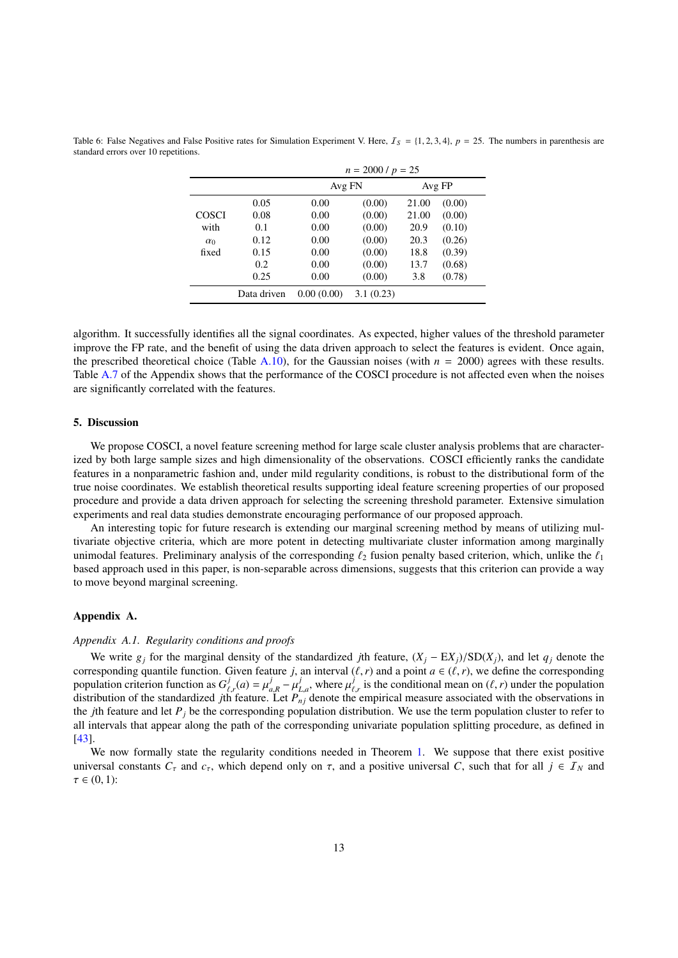|            |             |            | $n = 2000 / p = 25$ |       |        |  |  |  |  |
|------------|-------------|------------|---------------------|-------|--------|--|--|--|--|
|            |             | Avg FN     |                     |       | Avg FP |  |  |  |  |
|            | 0.05        | 0.00       | (0.00)              | 21.00 | (0.00) |  |  |  |  |
| COSCI      | 0.08        | 0.00       | (0.00)              | 21.00 | (0.00) |  |  |  |  |
| with       | 0.1         | 0.00       | (0.00)              | 20.9  | (0.10) |  |  |  |  |
| $\alpha_0$ | 0.12        | 0.00       | (0.00)              | 20.3  | (0.26) |  |  |  |  |
| fixed      | 0.15        | 0.00       | (0.00)              | 18.8  | (0.39) |  |  |  |  |
|            | 0.2         | 0.00       | (0.00)              | 13.7  | (0.68) |  |  |  |  |
|            | 0.25        | 0.00       | (0.00)              | 3.8   | (0.78) |  |  |  |  |
|            | Data driven | 0.00(0.00) | 3.1(0.23)           |       |        |  |  |  |  |

<span id="page-12-2"></span>Table 6: False Negatives and False Positive rates for Simulation Experiment V. Here,  $I_s = \{1, 2, 3, 4\}$ ,  $p = 25$ . The numbers in parenthesis are standard errors over 10 repetitions.

algorithm. It successfully identifies all the signal coordinates. As expected, higher values of the threshold parameter improve the FP rate, and the benefit of using the data driven approach to select the features is evident. Once again, the prescribed theoretical choice (Table [A.10\)](#page-20-0), for the Gaussian noises (with  $n = 2000$ ) agrees with these results. Table [A.7](#page-16-0) of the Appendix shows that the performance of the COSCI procedure is not affected even when the noises are significantly correlated with the features.

## <span id="page-12-0"></span>5. Discussion

We propose COSCI, a novel feature screening method for large scale cluster analysis problems that are characterized by both large sample sizes and high dimensionality of the observations. COSCI efficiently ranks the candidate features in a nonparametric fashion and, under mild regularity conditions, is robust to the distributional form of the true noise coordinates. We establish theoretical results supporting ideal feature screening properties of our proposed procedure and provide a data driven approach for selecting the screening threshold parameter. Extensive simulation experiments and real data studies demonstrate encouraging performance of our proposed approach.

An interesting topic for future research is extending our marginal screening method by means of utilizing multivariate objective criteria, which are more potent in detecting multivariate cluster information among marginally unimodal features. Preliminary analysis of the corresponding  $\ell_2$  fusion penalty based criterion, which, unlike the  $\ell_1$ based approach used in this paper, is non-separable across dimensions, suggests that this criterion can provide a way to move beyond marginal screening.

#### Appendix A.

#### <span id="page-12-1"></span>*Appendix A.1. Regularity conditions and proofs*

We write  $g_j$  for the marginal density of the standardized *j*th feature,  $(X_j - EX_j)/SD(X_j)$ , and let  $q_j$  denote the corresponding quantile function. Given feature *j*, an interval  $(\ell, r)$  and a point  $a \in (\ell, r)$ , we define the corresponding population criterion function as  $G^j_\ell$  $\mu_{\ell,r}^j(a) = \mu_a^j$ <br>h feature  $\mu_l^j = \mu_l^j$ <br>
Let P  $L_{\mu}^{j}$ , where  $\mu_{\ell}^{j}$ population criterion function as  $G_{\ell,r}^j(a) = \mu_{a,R}^j - \mu_{L,a}^j$ , where  $\mu_{\ell,r}^j$  is the conditional mean on  $(\ell, r)$  under the population distribution of the standardized *j*th feature. Let  $P_{nj}$  denote the empirical me the *j*th feature and let  $P_j$  be the corresponding population distribution. We use the term population cluster to refer to all intervals that appear along the path of the corresponding univariate population splitting procedure, as defined in [\[43\]](#page-23-6).

We now formally state the regularity conditions needed in Theorem [1.](#page-4-1) We suppose that there exist positive universal constants  $C_{\tau}$  and  $c_{\tau}$ , which depend only on  $\tau$ , and a positive universal *C*, such that for all  $j \in I_N$  and  $\tau \in (0,1)$ :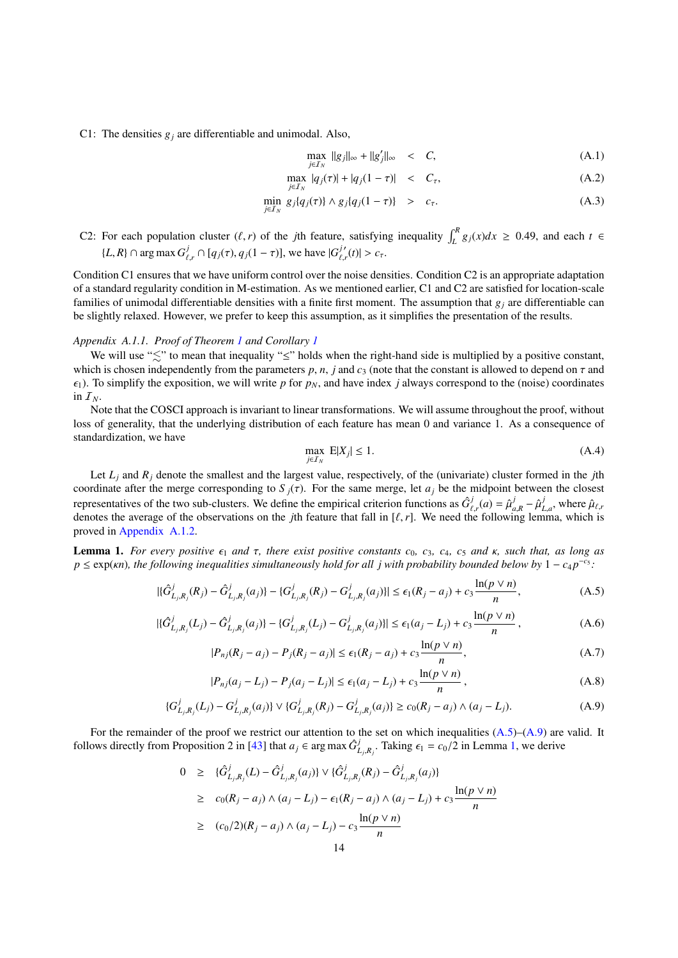C1: The densities  $g_i$  are differentiable and unimodal. Also,

<span id="page-13-5"></span>
$$
\max_{j\in\mathcal{I}_N} \|g_j\|_{\infty} + \|g'_j\|_{\infty} < C,\tag{A.1}
$$

$$
\max_{j \in I_N} |q_j(\tau)| + |q_j(1 - \tau)| < C_\tau,\tag{A.2}
$$

$$
\min_{j\in\mathcal{I}_N} g_j\{q_j(\tau)\} \wedge g_j\{q_j(1-\tau)\} > c_\tau. \tag{A.3}
$$

C2: For each population cluster  $(\ell, r)$  of the *j*th feature, satisfying inequality  $\int_{L}^{R} g_j(x) dx \ge 0.49$ , and each  $t \in$  $\{L, R\} \cap \arg \max G_{\ell}^j$  $\int_{\ell,r}^{j} \cap [q_j(\tau), q_j(1-\tau)],$  we have  $|G_{\ell,m}^{j'}(1-\tau)|$  $|f'_{\ell,r}(t)| > c_{\tau}.$ 

Condition C1 ensures that we have uniform control over the noise densities. Condition C2 is an appropriate adaptation of a standard regularity condition in M-estimation. As we mentioned earlier, C1 and C2 are satisfied for location-scale families of unimodal differentiable densities with a finite first moment. The assumption that  $g_j$  are differentiable can be slightly relaxed. However, we prefer to keep this assumption, as it simplifies the presentation of the results.

### *Appendix A.1.1. Proof of Theorem [1](#page-4-1) and Corollary [1](#page-5-1)*

We will use " $\leq$ " to mean that inequality " $\leq$ " holds when the right-hand side is multiplied by a positive constant, which is chosen independently from the parameters  $p$ ,  $n$ ,  $j$  and  $c_3$  (note that the constant is allowed to depend on  $\tau$  and  $\epsilon_1$ ). To simplify the exposition, we will write *p* for  $p_N$ , and have index *j* always correspond to the (noise) coordinates in  $\mathcal{I}_N$ .

Note that the COSCI approach is invariant to linear transformations. We will assume throughout the proof, without loss of generality, that the underlying distribution of each feature has mean 0 and variance 1. As a consequence of standardization, we have

<span id="page-13-6"></span>
$$
\max_{j \in \mathcal{I}_N} \mathbb{E}[X_j] \le 1. \tag{A.4}
$$

Let  $L_i$  and  $R_i$  denote the smallest and the largest value, respectively, of the (univariate) cluster formed in the *j*th coordinate after the merge corresponding to  $S_j(\tau)$ . For the same merge, let  $a_j$  be the midpoint between the closest representatives of the two sub-clusters. We define the empirical criterion functions as  $\hat{G}_{\ell}^{j}$  $\hat{\mu}_r^j(a) = \hat{\mu}_a^j$ <br> *i* followi  $\hat{\mu}_{a,R}^j - \hat{\mu}_I^j$ <br>ing lem  $\hat{\mu}_{L,a}$ , where  $\hat{\mu}_{\ell,n}$ denotes the average of the observations on the *j*th feature that fall in  $[\ell, r]$ . We need the following lemma, which is proved in Appendix A 1.2 proved in [Appendix A.1.2.](#page-14-0)

<span id="page-13-2"></span>**Lemma 1.** *For every positive*  $ε_1$  *and*  $τ$ *, there exist positive constants*  $c_0$ *,*  $c_3$ *,*  $c_4$ *,*  $c_5$  *<i>and*  $κ$ *, such that, as long as*  $p \leq \exp(\kappa n)$ , the following inequalities simultaneously hold for all *j* with probability bounded below by  $1 - c_4 p^{-c_5}$ :

<span id="page-13-0"></span>
$$
|\{\hat{G}_{L_j,R_j}^j(R_j) - \hat{G}_{L_j,R_j}^j(a_j)\} - \{G_{L_j,R_j}^j(R_j) - G_{L_j,R_j}^j(a_j)\}| \le \epsilon_1 (R_j - a_j) + c_3 \frac{\ln(p \vee n)}{n},\tag{A.5}
$$

$$
|\{\hat{G}_{L_j,R_j}^j(L_j) - \hat{G}_{L_j,R_j}^j(a_j)\} - \{G_{L_j,R_j}^j(L_j) - G_{L_j,R_j}^j(a_j)\}| \le \epsilon_1(a_j - L_j) + c_3 \frac{\ln(p \vee n)}{n},\tag{A.6}
$$

<span id="page-13-3"></span>
$$
|P_{nj}(R_j - a_j) - P_j(R_j - a_j)| \le \epsilon_1 (R_j - a_j) + c_3 \frac{\ln(p \vee n)}{n}, \tag{A.7}
$$

<span id="page-13-4"></span>
$$
|P_{nj}(a_j - L_j) - P_j(a_j - L_j)| \le \epsilon_1 (a_j - L_j) + c_3 \frac{\ln(p \vee n)}{n}, \tag{A.8}
$$

<span id="page-13-1"></span>
$$
\{G_{L_j,R_j}^j(L_j) - G_{L_j,R_j}^j(a_j)\} \vee \{G_{L_j,R_j}^j(R_j) - G_{L_j,R_j}^j(a_j)\} \ge c_0(R_j - a_j) \wedge (a_j - L_j). \tag{A.9}
$$

For the remainder of the proof we restrict our attention to the set on which inequalities  $(A.5)$ – $(A.9)$  are valid. It follows directly from Proposition 2 in [\[43\]](#page-23-6) that  $a_j \in \arg \max \hat{G}_l^j$  $L_{j,R_j}$ . Taking  $\epsilon_1 = c_0/2$  in Lemma [1,](#page-13-2) we derive

<span id="page-13-7"></span>
$$
0 \geq \{\hat{G}_{L_j,R_j}^j(L) - \hat{G}_{L_j,R_j}^j(a_j)\} \vee \{\hat{G}_{L_j,R_j}^j(R_j) - \hat{G}_{L_j,R_j}^j(a_j)\}\
$$
  
\n
$$
\geq c_0(R_j - a_j) \wedge (a_j - L_j) - \epsilon_1(R_j - a_j) \wedge (a_j - L_j) + c_3 \frac{\ln(p \vee n)}{n}
$$
  
\n
$$
\geq (c_0/2)(R_j - a_j) \wedge (a_j - L_j) - c_3 \frac{\ln(p \vee n)}{n}
$$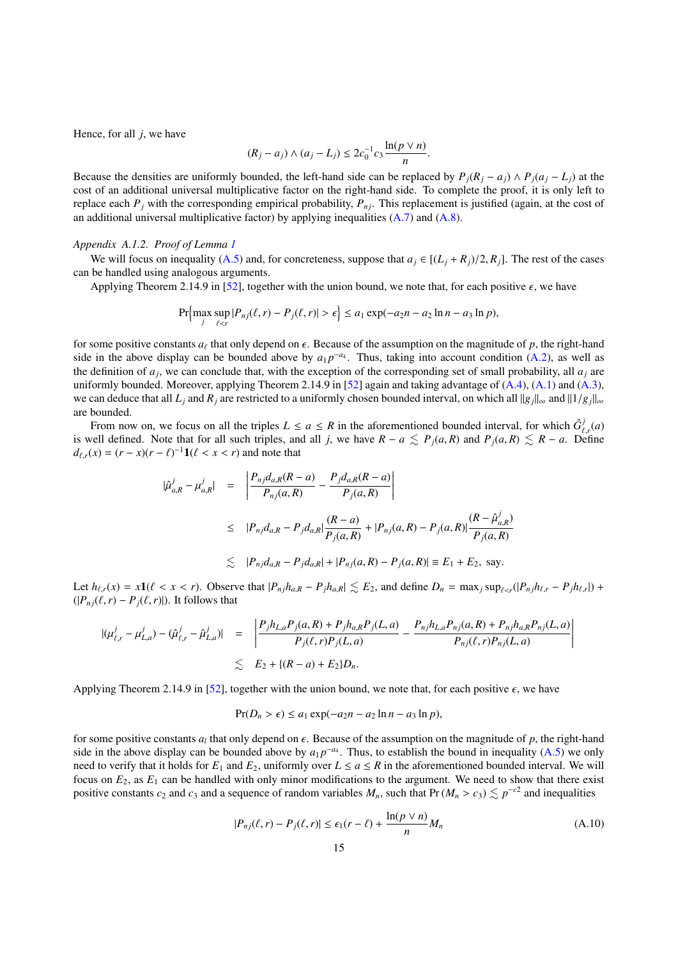Hence, for all *j*, we have

$$
(R_j - a_j) \wedge (a_j - L_j) \le 2c_0^{-1} c_3 \frac{\ln(p \vee n)}{n}.
$$

Because the densities are uniformly bounded, the left-hand side can be replaced by  $P_i(R_i - a_i) \wedge P_i(a_i - L_i)$  at the cost of an additional universal multiplicative factor on the right-hand side. To complete the proof, it is only left to replace each  $P_j$  with the corresponding empirical probability,  $P_{nj}$ . This replacement is justified (again, at the cost of an additional universal multiplicative factor) by applying inequalities  $(A.7)$  and  $(A.8)$ .

#### <span id="page-14-0"></span>*Appendix A.1.2. Proof of Lemma [1](#page-13-2)*

We will focus on inequality [\(A.5\)](#page-13-0) and, for concreteness, suppose that  $a_j \in [(L_j + R_j)/2, R_j]$ . The rest of the cases can be handled using analogous arguments.

Applying Theorem 2.14.9 in [\[52\]](#page-24-6), together with the union bound, we note that, for each positive  $\epsilon$ , we have

$$
\Pr\Bigl\{\max_{j}\sup_{\ell\leq r}|P_{nj}(\ell,r)-P_j(\ell,r)|>\epsilon\Bigr\}\leq a_1\exp(-a_2n-a_2\ln n-a_3\ln p),
$$

for some positive constants  $a_\ell$  that only depend on  $\epsilon$ . Because of the assumption on the magnitude of *p*, the right-hand<br>side in the above display can be bounded above by  $a_1p^{-a_4}$ . Thus, taking into account condit side in the above display can be bounded above by  $a_1 p^{-a_4}$ . Thus, taking into account condition [\(A.2\)](#page-13-5), as well as the definition of  $a_j$ , we can conclude that, with the exception of the corresponding set of small probability, all  $a_j$  are uniformly bounded. Moreover, applying Theorem 2.14.9 in [\[52\]](#page-24-6) again and taking advantage of [\(A.4\)](#page-13-6), [\(A.1\)](#page-13-5) and [\(A.3\)](#page-13-5), we can deduce that all  $L_i$  and  $R_i$  are restricted to a uniformly chosen bounded interval, on which all  $||g_i||_{\infty}$  and  $||1/g_i||_{\infty}$ are bounded.

From now on, we focus on all the triples  $L \le a \le R$  in the aforementioned bounded interval, for which  $\hat{G}^j_{\ell,r}(a)$ *F*, *r*(*a*) is well defined. Note that for all such triples, and all *j*, we have *R* − *a*  $\lesssim P_j(a, R)$  and  $P_j(a, R) \lesssim R - a$ . Define  $d_e(x) - (r - x)(r - \ell)^{-1} \mathbf{1}(\ell < r < r)$  and note that  $d_{\ell,r}(x) = (r - x)(r - \ell)^{-1} \mathbf{1}(\ell < x < r)$  and note that

$$
\begin{array}{rcl}\n|\hat{\mu}_{a,R}^j - \mu_{a,R}^j| & = & \left| \frac{P_{nj} d_{a,R}(R-a)}{P_{nj}(a,R)} - \frac{P_j d_{a,R}(R-a)}{P_j(a,R)} \right| \\
& \leq & |P_{nj} d_{a,R} - P_j d_{a,R}| \frac{(R-a)}{P_j(a,R)} + |P_{nj}(a,R) - P_j(a,R)| \frac{(R-\hat{\mu}_{a,R}^j)}{P_j(a,R)} \\
& \lesssim & |P_{nj} d_{a,R} - P_j d_{a,R}| + |P_{nj}(a,R) - P_j(a,R)| \equiv E_1 + E_2, \text{ say.}\n\end{array}
$$

Let  $h_{\ell,r}(x) = x\mathbf{1}(\ell < x < r)$ . Observe that  $|P_{nj}h_{a,R} - P_jh_{a,R}| \le E_2$ , and define  $D_n = \max_j \sup_{\ell \le r} (|P_{nj}h_{\ell,r} - P_jh_{\ell,r}|) +$  $(|P_{ni}(\ell, r) - P_i(\ell, r)|)$ . It follows that

$$
|(\mu_{\ell,r}^j - \mu_{L,a}^j) - (\hat{\mu}_{\ell,r}^j - \hat{\mu}_{L,a}^j)| = \left| \frac{P_j h_{L,a} P_j(a, R) + P_j h_{a,R} P_j(L, a)}{P_j(\ell, r) P_j(L, a)} - \frac{P_{nj} h_{L,a} P_{nj}(a, R) + P_{nj} h_{a,R} P_{nj}(L, a)}{P_{nj}(\ell, r) P_{nj}(L, a)} \right|
$$
  

$$
\lesssim E_2 + \{(R - a) + E_2\} D_n.
$$

Applying Theorem 2.14.9 in [\[52\]](#page-24-6), together with the union bound, we note that, for each positive  $\epsilon$ , we have

$$
Pr(D_n > \epsilon) \le a_1 \exp(-a_2 n - a_2 \ln n - a_3 \ln p),
$$

for some positive constants  $a_l$  that only depend on  $\epsilon$ . Because of the assumption on the magnitude of *p*, the right-hand<br>side in the above display can be bounded above by  $a_1 n^{-a_4}$ . Thus, to establish the bound in i side in the above display can be bounded above by  $a_1 p^{-a_4}$ . Thus, to establish the bound in inequality [\(A.5\)](#page-13-0) we only need to verify that it holds for  $E_1$  and  $E_2$ , uniformly over  $L \le a \le R$  in the aforementioned bounded interval. We will focus on  $E_2$ , as  $E_1$  can be handled with only minor modifications to the argument. We need to show that there exist positive constants  $c_2$  and  $c_3$  and a sequence of random variables  $M_n$ , such that Pr ( $M_n > c_3$ )  $\lesssim p^{-c_2}$  and inequalities

$$
|P_{nj}(\ell, r) - P_j(\ell, r)| \le \epsilon_1 (r - \ell) + \frac{\ln(p \vee n)}{n} M_n \tag{A.10}
$$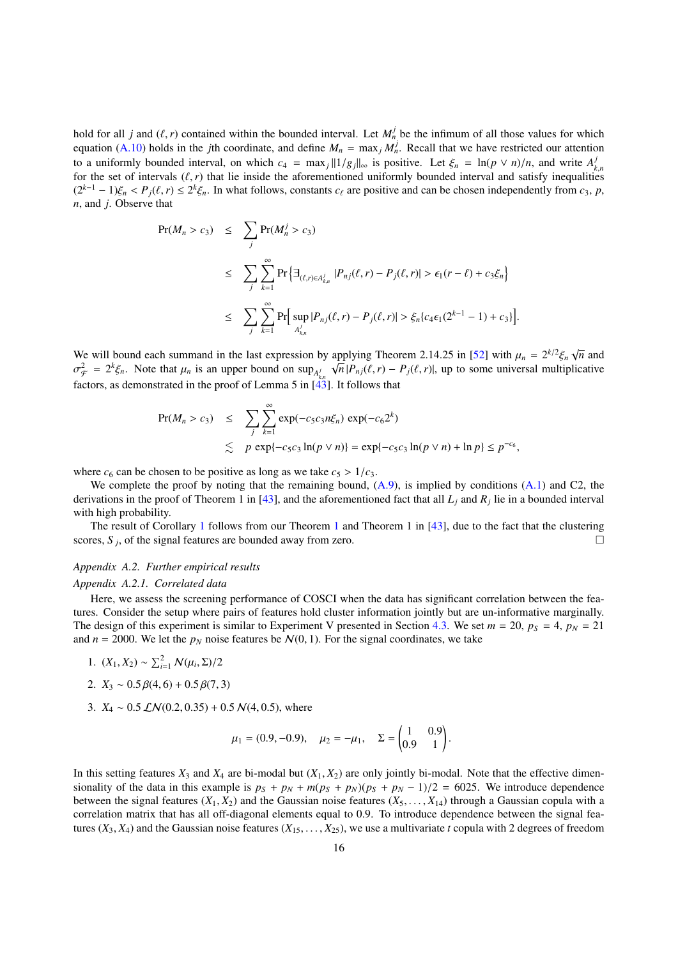hold for all *j* and ( $\ell$ , *r*) contained within the bounded interval. Let  $M_n^j$  be the infimum of all those values for which equation ( $\Delta$  10) holds in the *i*th coordinate, and define  $M = \max_{i} M_i^j$ . Recall that we ha equation [\(A.10\)](#page-13-7) holds in the *j*th coordinate, and define  $M_n = \max_j M_n^j$ . Recall that we have restricted our attention to a uniformly bounded interval, on which  $c_4 = \max_j ||1/g_j||_{\infty}$  is positive. Let  $\xi_n = \ln(p \vee n)/n$ , and write  $A^{\dagger}_k$  for the set of intervals  $(\ell, r)$  that lie inside the aforementioned uniformly bounded interval and satisf for the set of intervals ( $\ell$ ,*r*) that lie inside the aforementioned uniformly bounded interval and satisfy inequalities  $(\ell^* - 1)$   $\ell \geq \ell^2$ . In what follows, constants  $\ell_0$  are positive and can be chosen independe  $(2^{k-1} - 1)\xi_n < P_j(\ell, r) \le 2^k \xi_n$ . In what follows, constants *c*<sub>ℓ</sub> are positive and can be chosen independently from *c*<sub>3</sub>, *p*, *n*, and *i*. Observe that *n*, and *j*. Observe that

$$
Pr(M_n > c_3) \leq \sum_{j} Pr(M_n^j > c_3)
$$
  
\n
$$
\leq \sum_{j} \sum_{k=1}^{\infty} Pr\left\{ \exists_{(\ell,r) \in A_{k,n}^j} |P_{nj}(\ell,r) - P_j(\ell,r)| > \epsilon_1(r - \ell) + c_3 \xi_n \right\}
$$
  
\n
$$
\leq \sum_{j} \sum_{k=1}^{\infty} Pr\left[ \sup_{A_{k,n}^j} |P_{nj}(\ell,r) - P_j(\ell,r)| > \xi_n \{ c_4 \epsilon_1 (2^{k-1} - 1) + c_3 \} \right].
$$

We will bound each summand in the last expression by applying Theorem 2.14.25 in [\[52\]](#page-24-6) with  $\mu_n = 2^{k/2} \xi_n \sqrt{n}$  and  $\sigma^2 = 2^{k/2}$  Note that  $\mu_n$  is an upper bound on sup  $\pi/\sqrt{n}$   $P(\ell, r) = P(\ell, r)$  up to some universal mul  $\frac{f^2}{f^2} = 2^k \xi_n$ . Note that  $\mu_n$  is an upper bound on sup<sub>*A*</sub> $\sqrt{n} |P_{nj}(\ell, r) - P_j(\ell, r)|$ , up to some universal multiplicative that  $\mu_n$  is an upper bound on sup<sub>*A*</sub> $\sqrt{n} |P_{nj}(\ell, r) - P_j(\ell, r)|$ , up to some universal mult  $f_{A_{k,n}}$  factors, as demonstrated in the proof of Lemma 5 in [\[43\]](#page-23-6). It follows that

$$
\begin{array}{rcl}\n\Pr(M_n > c_3) & \leq & \sum_{j} \sum_{k=1}^{\infty} \exp(-c_5 c_3 n \xi_n) \exp(-c_6 2^k) \\
& \lesssim & p \exp\{-c_5 c_3 \ln(p \vee n)\} = \exp\{-c_5 c_3 \ln(p \vee n) + \ln p\} \leq p^{-c_6},\n\end{array}
$$

where  $c_6$  can be chosen to be positive as long as we take  $c_5 > 1/c_3$ .

We complete the proof by noting that the remaining bound,  $(A.9)$ , is implied by conditions  $(A.1)$  and C2, the derivations in the proof of Theorem 1 in [\[43\]](#page-23-6), and the aforementioned fact that all *L<sup>j</sup>* and *R<sup>j</sup>* lie in a bounded interval with high probability.

The result of Corollary [1](#page-5-1) follows from our Theorem [1](#page-4-1) and Theorem 1 in [\[43\]](#page-23-6), due to the fact that the clustering scores,  $S_j$ , of the signal features are bounded away from zero.

# *Appendix A.2. Further empirical results*

#### *Appendix A.2.1. Correlated data*

Here, we assess the screening performance of COSCI when the data has significant correlation between the features. Consider the setup where pairs of features hold cluster information jointly but are un-informative marginally. The design of this experiment is similar to Experiment V presented in Section [4.3.](#page-11-0) We set  $m = 20$ ,  $p_S = 4$ ,  $p_N = 21$ and  $n = 2000$ . We let the  $p<sub>N</sub>$  noise features be  $N(0, 1)$ . For the signal coordinates, we take

- 1.  $(X_1, X_2) \sim \sum_{i=1}^2 N(\mu_i, \Sigma)/2$
- 2.  $X_3 \sim 0.5 \beta(4, 6) + 0.5 \beta(7, 3)$
- 3.  $X_4 \sim 0.5 \, \mathcal{LN}(0.2, 0.35) + 0.5 \, \mathcal{N}(4, 0.5)$ , where

$$
\mu_1 = (0.9, -0.9), \quad \mu_2 = -\mu_1, \quad \Sigma = \begin{pmatrix} 1 & 0.9 \\ 0.9 & 1 \end{pmatrix}
$$

In this setting features  $X_3$  and  $X_4$  are bi-modal but  $(X_1, X_2)$  are only jointly bi-modal. Note that the effective dimensionality of the data in this example is  $p_S + p_N + m(p_S + p_N)(p_S + p_N - 1)/2 = 6025$ . We introduce dependence between the signal features  $(X_1, X_2)$  and the Gaussian noise features  $(X_5, \ldots, X_{14})$  through a Gaussian copula with a correlation matrix that has all off-diagonal elements equal to <sup>0</sup>.9. To introduce dependence between the signal features  $(X_3, X_4)$  and the Gaussian noise features  $(X_{15}, \ldots, X_{25})$ , we use a multivariate *t* copula with 2 degrees of freedom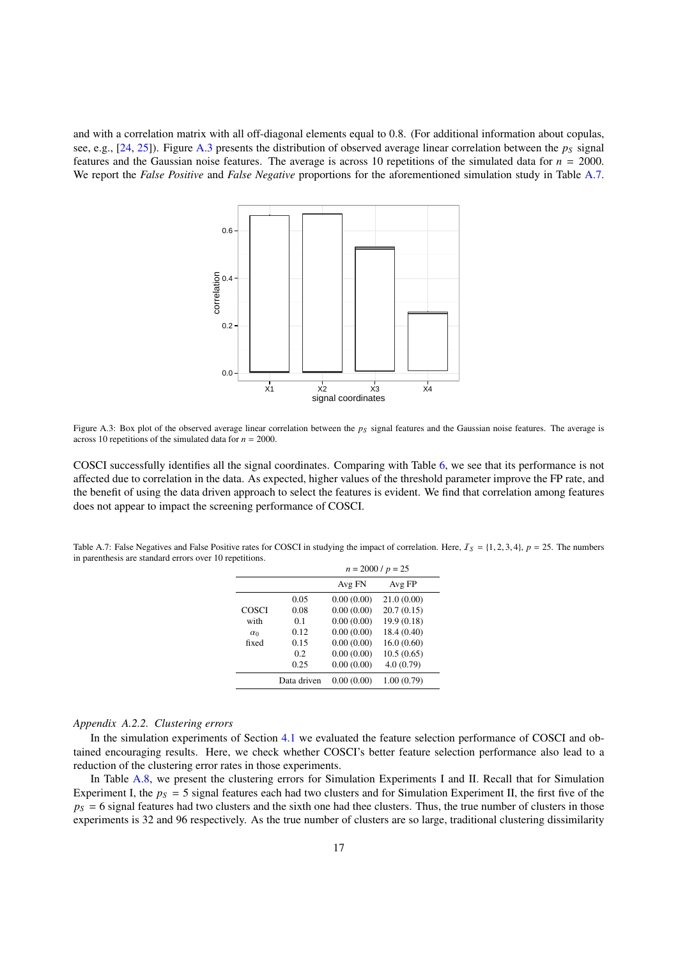and with a correlation matrix with all off-diagonal elements equal to <sup>0</sup>.8. (For additional information about copulas, see, e.g.,  $[24, 25]$  $[24, 25]$  $[24, 25]$ ). Figure [A.3](#page-16-1) presents the distribution of observed average linear correlation between the  $p<sub>S</sub>$  signal features and the Gaussian noise features. The average is across 10 repetitions of the simulated data for  $n = 2000$ . We report the *False Positive* and *False Negative* proportions for the aforementioned simulation study in Table [A.7.](#page-16-0)



Figure A.3: Box plot of the observed average linear correlation between the  $p<sub>S</sub>$  signal features and the Gaussian noise features. The average is across 10 repetitions of the simulated data for  $n = 2000$ .

COSCI successfully identifies all the signal coordinates. Comparing with Table [6,](#page-12-2) we see that its performance is not affected due to correlation in the data. As expected, higher values of the threshold parameter improve the FP rate, and the benefit of using the data driven approach to select the features is evident. We find that correlation among features does not appear to impact the screening performance of COSCI.

<span id="page-16-0"></span>Table A.7: False Negatives and False Positive rates for COSCI in studying the impact of correlation. Here, <sup>I</sup>*<sup>S</sup>* <sup>=</sup> {1, <sup>2</sup>, <sup>3</sup>, <sup>4</sup>}, *<sup>p</sup>* <sup>=</sup> 25. The numbers in parenthesis are standard errors over 10 repetitions.

<span id="page-16-1"></span>

|            | $n = 2000 / p = 25$ |            |             |  |  |
|------------|---------------------|------------|-------------|--|--|
|            |                     | Avg FN     | Avg FP      |  |  |
|            | 0.05                | 0.00(0.00) | 21.0(0.00)  |  |  |
| COSCI      | 0.08                | 0.00(0.00) | 20.7(0.15)  |  |  |
| with       | 0.1                 | 0.00(0.00) | 19.9(0.18)  |  |  |
| $\alpha_0$ | 0.12                | 0.00(0.00) | 18.4 (0.40) |  |  |
| fixed      | 0.15                | 0.00(0.00) | 16.0(0.60)  |  |  |
|            | 02                  | 0.00(0.00) | 10.5(0.65)  |  |  |
|            | 0.25                | 0.00(0.00) | 4.0(0.79)   |  |  |
|            | Data driven         | 0.00(0.00) | 1.00(0.79)  |  |  |

#### *Appendix A.2.2. Clustering errors*

In the simulation experiments of Section [4.1](#page-6-1) we evaluated the feature selection performance of COSCI and obtained encouraging results. Here, we check whether COSCI's better feature selection performance also lead to a reduction of the clustering error rates in those experiments.

In Table [A.8,](#page-17-2) we present the clustering errors for Simulation Experiments I and II. Recall that for Simulation Experiment I, the  $p_s = 5$  signal features each had two clusters and for Simulation Experiment II, the first five of the  $p<sub>S</sub> = 6$  signal features had two clusters and the sixth one had thee clusters. Thus, the true number of clusters in those experiments is 32 and 96 respectively. As the true number of clusters are so large, traditional clustering dissimilarity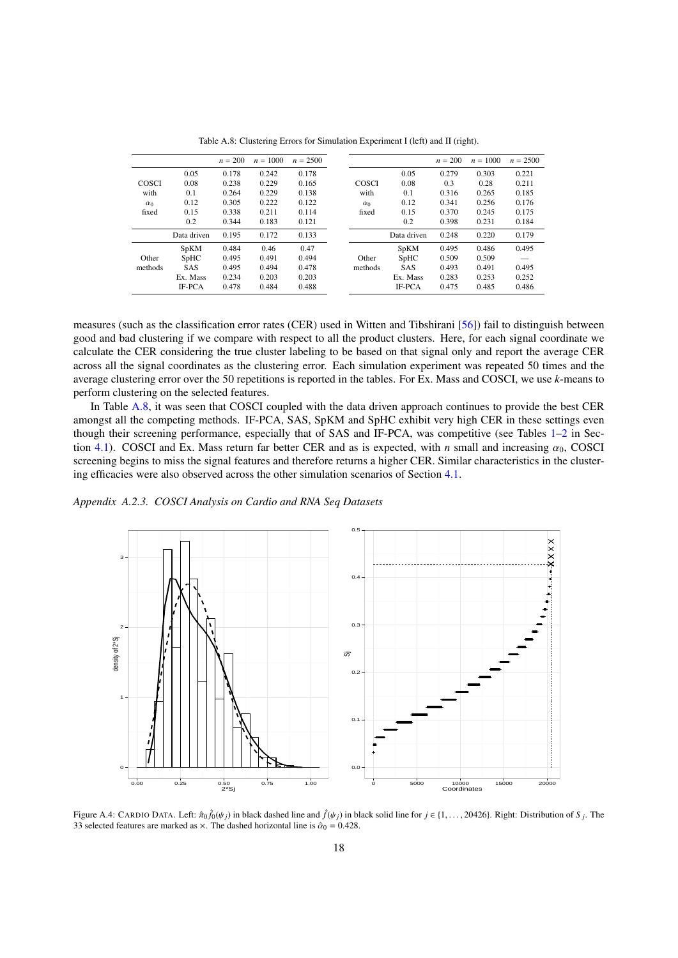<span id="page-17-2"></span>

|              |               | $n = 200$ | $n = 1000$ | $n = 2500$ |              |               | $n = 200$ | $n = 1000$ | $n = 2500$ |
|--------------|---------------|-----------|------------|------------|--------------|---------------|-----------|------------|------------|
|              | 0.05          | 0.178     | 0.242      | 0.178      |              | 0.05          | 0.279     | 0.303      | 0.221      |
| <b>COSCI</b> | 0.08          | 0.238     | 0.229      | 0.165      | <b>COSCI</b> | 0.08          | 0.3       | 0.28       | 0.211      |
| with         | 0.1           | 0.264     | 0.229      | 0.138      | with         | 0.1           | 0.316     | 0.265      | 0.185      |
| $\alpha_0$   | 0.12          | 0.305     | 0.222      | 0.122      | $\alpha$     | 0.12          | 0.341     | 0.256      | 0.176      |
| fixed        | 0.15          | 0.338     | 0.211      | 0.114      | fixed        | 0.15          | 0.370     | 0.245      | 0.175      |
|              | 0.2           | 0.344     | 0.183      | 0.121      |              | 0.2           | 0.398     | 0.231      | 0.184      |
|              | Data driven   | 0.195     | 0.172      | 0.133      |              | Data driven   | 0.248     | 0.220      | 0.179      |
|              | SpKM          | 0.484     | 0.46       | 0.47       |              | <b>SpKM</b>   | 0.495     | 0.486      | 0.495      |
| Other        | SpHC          | 0.495     | 0.491      | 0.494      | Other        | SpHC          | 0.509     | 0.509      |            |
| methods      | <b>SAS</b>    | 0.495     | 0.494      | 0.478      | methods      | <b>SAS</b>    | 0.493     | 0.491      | 0.495      |
|              | Ex. Mass      | 0.234     | 0.203      | 0.203      |              | Ex. Mass      | 0.283     | 0.253      | 0.252      |
|              | <b>IF-PCA</b> | 0.478     | 0.484      | 0.488      |              | <b>IF-PCA</b> | 0.475     | 0.485      | 0.486      |

Table A.8: Clustering Errors for Simulation Experiment I (left) and II (right).

measures (such as the classification error rates (CER) used in Witten and Tibshirani [\[56\]](#page-24-0)) fail to distinguish between good and bad clustering if we compare with respect to all the product clusters. Here, for each signal coordinate we calculate the CER considering the true cluster labeling to be based on that signal only and report the average CER across all the signal coordinates as the clustering error. Each simulation experiment was repeated 50 times and the average clustering error over the 50 repetitions is reported in the tables. For Ex. Mass and COSCI, we use *k*-means to perform clustering on the selected features.

In Table [A.8,](#page-17-2) it was seen that COSCI coupled with the data driven approach continues to provide the best CER amongst all the competing methods. IF-PCA, SAS, SpKM and SpHC exhibit very high CER in these settings even though their screening performance, especially that of SAS and IF-PCA, was competitive (see Tables [1](#page-7-0)[–2](#page-7-1) in Sec-tion [4.1\)](#page-6-1). COSCI and Ex. Mass return far better CER and as is expected, with *n* small and increasing  $\alpha_0$ , COSCI screening begins to miss the signal features and therefore returns a higher CER. Similar characteristics in the clustering efficacies were also observed across the other simulation scenarios of Section [4.1.](#page-6-1)

<span id="page-17-1"></span>*Appendix A.2.3. COSCI Analysis on Cardio and RNA Seq Datasets*



<span id="page-17-0"></span>Figure A.4: CARDIO DATA. Left:  $\hat{\pi}_0 \hat{f}_0(\psi_j)$  in black dashed line and  $\hat{f}(\psi_j)$  in black solid line for  $j \in \{1, \ldots, 20426\}$ . Right: Distribution of *S j*. The 33 selected features are marked as  $\times$  The dashed 33 selected features are marked as  $\times$ . The dashed horizontal line is  $\hat{\alpha}_0 = 0.428$ .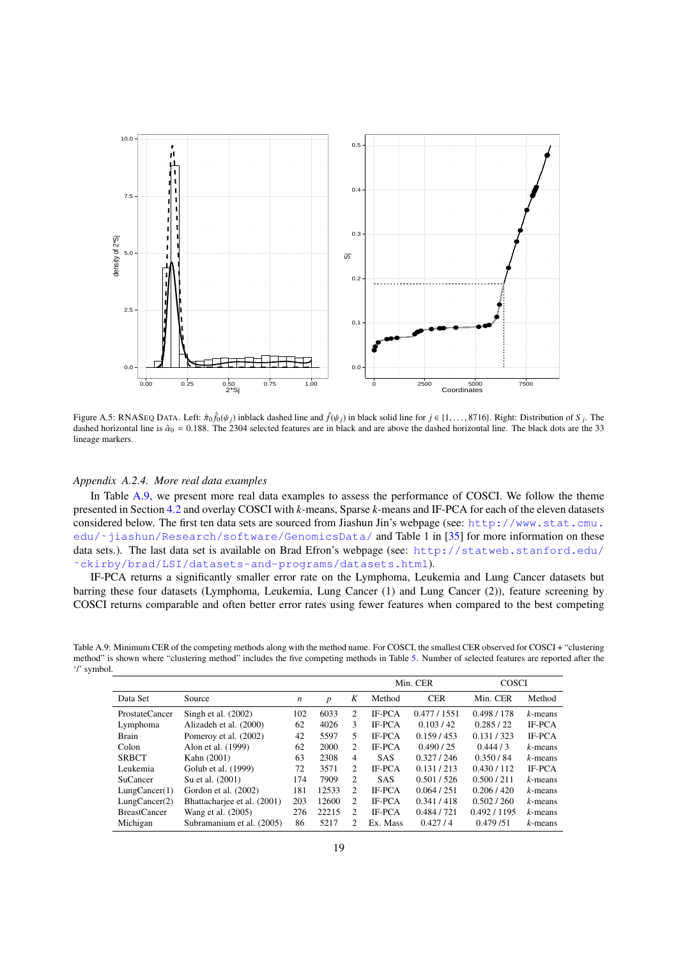

<span id="page-18-1"></span>Figure A.5: RNASEQ DATA. Left:  $\hat{\pi}_0 \hat{f}_0(\psi_j)$  inblack dashed line and  $\hat{f}(\psi_j)$  in black solid line for  $j \in \{1, \ldots, 8716\}$ . Right: Distribution of *S j*. The dashed horizontal line is  $\hat{\alpha}_s = 0.188$ . The 2304 s dashed horizontal line is  $\hat{\alpha}_0 = 0.188$ . The 2304 selected features are in black and are above the dashed horizontal line. The black dots are the 33 lineage markers.

# <span id="page-18-0"></span>*Appendix A.2.4. More real data examples*

In Table [A.9,](#page-18-2) we present more real data examples to assess the performance of COSCI. We follow the theme presented in Section [4.2](#page-9-1) and overlay COSCI with *k*-means, Sparse *k*-means and IF-PCA for each of the eleven datasets considered below. The first ten data sets are sourced from Jiashun Jin's webpage (see: [http://www.stat.cmu.](http://www.stat.cmu.edu/~jiashun/Research/software/GenomicsData/) edu/~jiashun/Research/software/GenomicsData/ and Table 1 in [\[35\]](#page-23-5) for more information on these data sets.). The last data set is available on Brad Efron's webpage (see: [http://statweb.stanford.edu/](http://statweb.stanford.edu/~ckirby/brad/LSI/datasets-and-programs/datasets.html) [˜ckirby/brad/LSI/datasets-and-programs/datasets.html](http://statweb.stanford.edu/~ckirby/brad/LSI/datasets-and-programs/datasets.html)).

IF-PCA returns a significantly smaller error rate on the Lymphoma, Leukemia and Lung Cancer datasets but barring these four datasets (Lymphoma, Leukemia, Lung Cancer (1) and Lung Cancer (2)), feature screening by COSCI returns comparable and often better error rates using fewer features when compared to the best competing

<span id="page-18-2"></span>Table A.9: Minimum CER of the competing methods along with the method name. For COSCI, the smallest CER observed for COSCI + "clustering method" is shown where "clustering method" includes the five competing methods in Table [5.](#page-10-1) Number of selected features are reported after the '/' symbol.

|                       |                             |                  |                  |                |               | Min. CER    | <b>COSCI</b> |               |
|-----------------------|-----------------------------|------------------|------------------|----------------|---------------|-------------|--------------|---------------|
| Data Set              | Source                      | $\boldsymbol{n}$ | $\boldsymbol{p}$ | K              | Method        | <b>CER</b>  | Min. CER     | Method        |
| <b>ProstateCancer</b> | Singh et al. $(2002)$       | 102              | 6033             | 2              | <b>IF-PCA</b> | 0.477/1551  | 0.498 / 178  | $k$ -means    |
| Lymphoma              | Alizadeh et al. (2000)      | 62               | 4026             | 3              | <b>IF-PCA</b> | 0.103/42    | 0.285/22     | <b>IF-PCA</b> |
| Brain                 | Pomeroy et al. (2002)       | 42               | 5597             | 5.             | <b>IF-PCA</b> | 0.159/453   | 0.131 / 323  | IF-PCA        |
| Colon                 | Alon et al. (1999)          | 62               | 2000             | 2              | <b>IF-PCA</b> | 0.490 / 25  | 0.444/3      | $k$ -means    |
| <b>SRBCT</b>          | Kahn (2001)                 | 63               | 2308             | 4              | <b>SAS</b>    | 0.327/246   | 0.350/84     | $k$ -means    |
| Leukemia              | Golub et al. (1999)         | 72               | 3571             | 2              | <b>IF-PCA</b> | 0.131 / 213 | 0.430 / 112  | <b>IF-PCA</b> |
| <b>SuCancer</b>       | Su et al. (2001)            | 174              | 7909             | $\mathfrak{D}$ | <b>SAS</b>    | 0.501 / 526 | 0.500 / 211  | $k$ -means    |
| Lung Cancer(1)        | Gordon et al. (2002)        | 181              | 12533            | 2              | <b>IF-PCA</b> | 0.064/251   | 0.206/420    | $k$ -means    |
| Lung Cancer(2)        | Bhattacharjee et al. (2001) | 203              | 12600            | $\mathfrak{D}$ | <b>IF-PCA</b> | 0.341 / 418 | 0.502 / 260  | $k$ -means    |
| <b>BreastCancer</b>   | Wang et al. (2005)          | 276              | 22215            | $\mathfrak{D}$ | <b>IF-PCA</b> | 0.484 / 721 | 0.492 / 1195 | $k$ -means    |
| Michigan              | Subramanium et al. (2005)   | 86               | 5217             | 2.             | Ex. Mass      | 0.427/4     | 0.479/51     | $k$ -means    |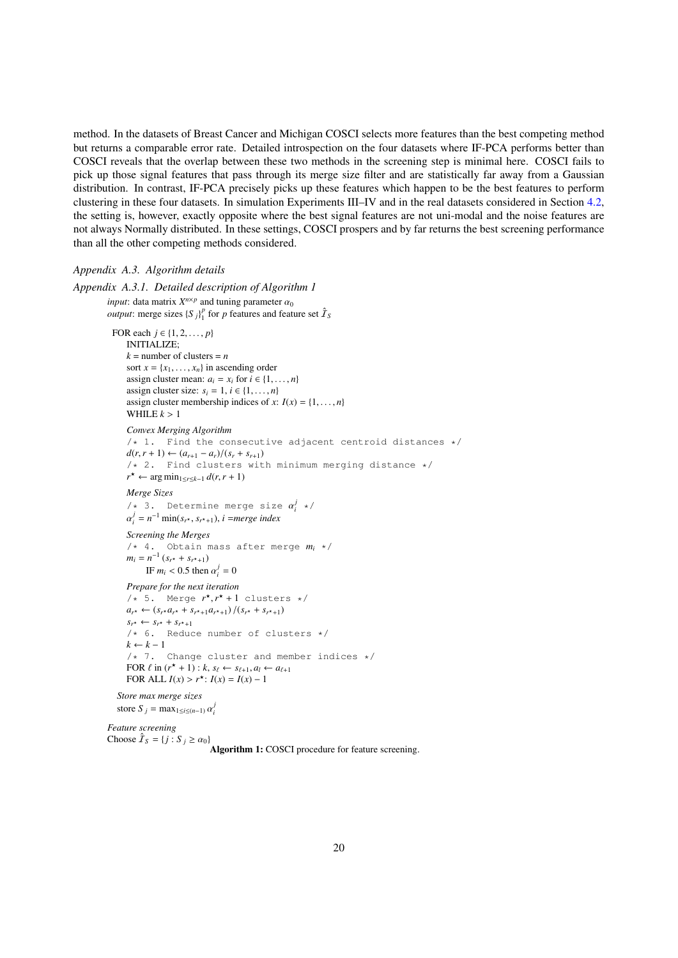method. In the datasets of Breast Cancer and Michigan COSCI selects more features than the best competing method but returns a comparable error rate. Detailed introspection on the four datasets where IF-PCA performs better than COSCI reveals that the overlap between these two methods in the screening step is minimal here. COSCI fails to pick up those signal features that pass through its merge size filter and are statistically far away from a Gaussian distribution. In contrast, IF-PCA precisely picks up these features which happen to be the best features to perform clustering in these four datasets. In simulation Experiments III–IV and in the real datasets considered in Section [4.2,](#page-9-1) the setting is, however, exactly opposite where the best signal features are not uni-modal and the noise features are not always Normally distributed. In these settings, COSCI prospers and by far returns the best screening performance than all the other competing methods considered.

#### *Appendix A.3. Algorithm details*

```
Appendix A.3.1. Detailed description of Algorithm 1
           input: data matrix X^{n \times p} and tuning parameter \alpha_0<br>output: merge sizes S \, N^p for n features and feat
           output: merge sizes \{S_j\}_1^p for p features and feature set \hat{\mathcal{I}}_SFOR each j \in \{1, 2, ..., p\}INITIALIZE;
                k = number of clusters = nsort x = \{x_1, \ldots, x_n\} in ascending order
                assign cluster mean: a_i = x_i for i \in \{1, ..., n\}assign cluster size: s_i = 1, i \in \{1, \ldots, n\}assign cluster membership indices of x: I(x) = \{1, \ldots, n\}WHILE k > 1Convex Merging Algorithm
                /* 1. Find the consecutive adjacent centroid distances */d(r, r + 1) ← (a_{r+1} - a_r)/(s_r + s_{r+1})/* 2. Find clusters with minimum merging distance */r^* ← arg min<sub>1≤r≤k−1</sub> d(r, r + 1)Merge Sizes
                 /* 3. Determine merge size \alpha_i^j */<br>\alpha_j^j = n^{-1} min(s, s, ) i=margaindax
                 α
Screening the Merges
                  j_i = n^{-1} \min(s_{r^*}, s_{r^*+1}), i =merge index
                /* 4. Obtain mass after merge mi */
                 m_i = n^{-1} (s_{r^*} + s_{r^*+1})IF m_i < 0.5 then \alpha_i^j = 0Prepare for the next iteration
                 \frac{1}{r} 5. Merge r^*, r^* + 1 clusters */
                 a_r \leftarrow (s_r \cdot a_r \cdot + s_{r^*+1} a_{r^*+1}) / (s_r \cdot + s_{r^*+1})s_r \leftarrow s_{r^*} + s_{r^*+1}/* 6. Reduce number of clusters */k \leftarrow k - 1/* 7. Change cluster and member indices */FOR \ell in (r^* + 1) : k, s_{\ell} \leftarrow s_{\ell+1}, a_{\ell} \leftarrow a_{\ell+1}<br>FOR ALL I(r) > r^* \cdot I(r) - I(r) - 1FOR ALL I(x) > r^*: I(x) = I(x) - 1Store max merge sizes
              store S_j = max<sub>1≤i≤(n−1)</sub> \alpha_i^j
```
*Feature screening* Choose  $\hat{\mathcal{I}}_S = \{j : S_j \ge \alpha_0\}$ 

```
Algorithm 1: COSCI procedure for feature screening.
```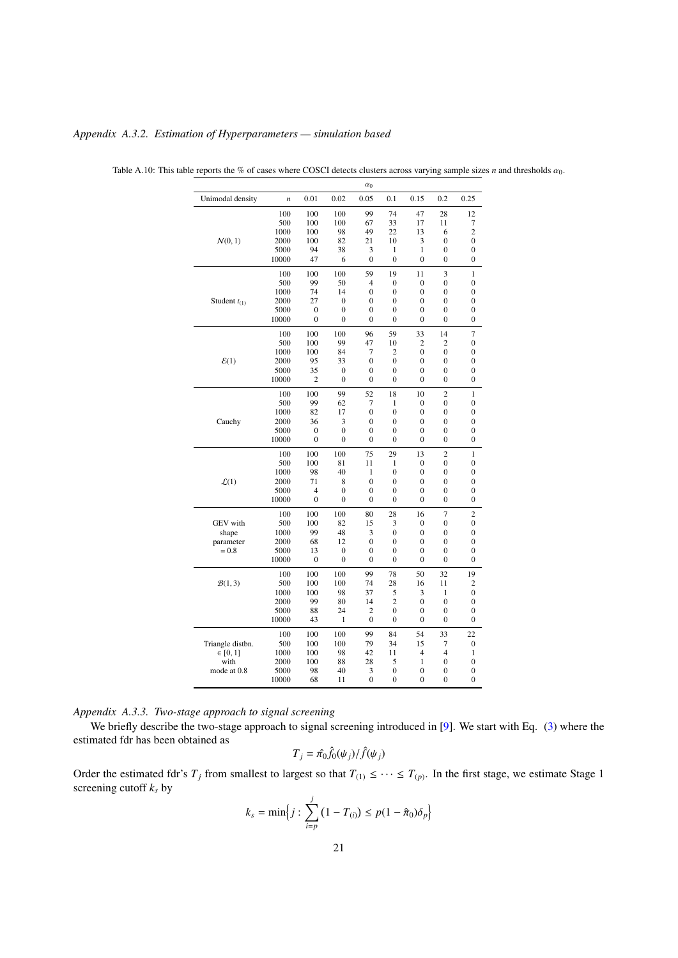|                   |                |                |                  | $\alpha_0$       |                  |                  |                  |                  |
|-------------------|----------------|----------------|------------------|------------------|------------------|------------------|------------------|------------------|
| Unimodal density  | $\overline{n}$ | 0.01           | 0.02             | 0.05             | 0.1              | 0.15             | 0.2              | 0.25             |
|                   | 100            | 100            | 100              | 99               | 74               | 47               | 28               | 12               |
|                   | 500            | 100            | 100              | 67               | 33               | 17               | 11               | 7                |
|                   | 1000           | 100            | 98               | 49               | 22               | 13               | 6                | $\overline{c}$   |
| N(0, 1)           | 2000           | 100            | 82               | 21               | 10               | 3                | $\overline{0}$   | $\overline{0}$   |
|                   | 5000           | 94             | 38               | 3                | 1                | 1                | $\overline{0}$   | $\mathbf{0}$     |
|                   | 10000          | 47             | 6                | $\mathbf{0}$     | $\mathbf{0}$     | $\overline{0}$   | $\overline{0}$   | $\overline{0}$   |
|                   | 100            | 100            | 100              | 59               | 19               | 11               | 3                | $\mathbf{1}$     |
|                   | 500            | 99             | 50               | $\overline{4}$   | $\boldsymbol{0}$ | $\mathbf{0}$     | $\mathbf{0}$     | $\overline{0}$   |
|                   | 1000           | 74             | 14               | $\boldsymbol{0}$ | 0                | $\mathbf{0}$     | $\overline{0}$   | $\overline{0}$   |
| Student $t_{(1)}$ | 2000           | 27             | 0                | 0                | 0                | $\boldsymbol{0}$ | $\boldsymbol{0}$ | 0                |
|                   | 5000           | $\mathbf{0}$   | $\theta$         | $\theta$         | $\theta$         | $\theta$         | $\theta$         | $\overline{0}$   |
|                   | 10000          | $\theta$       | $\theta$         | $\theta$         | $\theta$         | $\theta$         | $\theta$         | $\overline{0}$   |
|                   | 100            | 100            | 100              | 96               | 59               | 33               | 14               | $\overline{7}$   |
|                   | 500            | 100            | 99               | 47               | 10               | $\overline{c}$   | $\overline{c}$   | $\mathbf{0}$     |
|                   | 1000           | 100            | 84               | 7                | $\overline{2}$   | $\overline{0}$   | $\overline{0}$   | $\overline{0}$   |
| $\mathcal{E}(1)$  | 2000           | 95             | 33               | $\mathbf{0}$     | $\mathbf{0}$     | $\overline{0}$   | $\overline{0}$   | $\overline{0}$   |
|                   | 5000           | 35             | $\boldsymbol{0}$ | $\mathbf{0}$     | $\mathbf{0}$     | $\overline{0}$   | $\overline{0}$   | $\mathbf{0}$     |
|                   | 10000          | $\overline{c}$ | $\overline{0}$   | $\boldsymbol{0}$ | $\mathbf{0}$     | $\overline{0}$   | $\overline{0}$   | $\mathbf{0}$     |
|                   | 100            | 100            | 99               | 52               | 18               | 10               | $\overline{2}$   | $\mathbf{1}$     |
|                   | 500            | 99             | 62               | 7                | 1                | $\mathbf{0}$     | $\boldsymbol{0}$ | $\mathbf{0}$     |
|                   | 1000           | 82             | 17               | $\mathbf{0}$     | $\overline{0}$   | $\mathbf{0}$     | $\mathbf{0}$     | $\overline{0}$   |
| Cauchy            | 2000           | 36             | 3                | $\boldsymbol{0}$ | $\boldsymbol{0}$ | $\mathbf{0}$     | $\overline{0}$   | $\mathbf{0}$     |
|                   | 5000           | $\mathbf{0}$   | $\overline{0}$   | $\boldsymbol{0}$ | $\mathbf{0}$     | $\mathbf{0}$     | $\mathbf{0}$     | $\overline{0}$   |
|                   | 10000          | $\theta$       | $\theta$         | $\theta$         | $\theta$         | $\theta$         | $\theta$         | $\overline{0}$   |
|                   | 100            | 100            | 100              | 75               | 29               | 13               | $\overline{c}$   | $\mathbf{1}$     |
|                   | 500            | 100            | 81               | 11               | 1                | $\overline{0}$   | $\overline{0}$   | $\overline{0}$   |
|                   | 1000           | 98             | 40               | 1                | $\mathbf{0}$     | $\overline{0}$   | $\overline{0}$   | $\overline{0}$   |
| $\mathcal{L}(1)$  | 2000           | 71             | 8                | $\overline{0}$   | $\mathbf{0}$     | $\overline{0}$   | $\overline{0}$   | $\overline{0}$   |
|                   | 5000           | $\overline{4}$ | $\overline{0}$   | $\mathbf{0}$     | $\mathbf{0}$     | $\overline{0}$   | $\overline{0}$   | $\overline{0}$   |
|                   | 10000          | $\mathbf{0}$   | $\theta$         | $\mathbf{0}$     | $\mathbf{0}$     | $\theta$         | $\overline{0}$   | $\overline{0}$   |
|                   | 100            | 100            | 100              | 80               | 28               | 16               | $\overline{7}$   | $\overline{c}$   |
| <b>GEV</b> with   | 500            | 100            | 82               | 15               | 3                | $\overline{0}$   | $\mathbf{0}$     | $\boldsymbol{0}$ |
| shape             | 1000           | 99             | 48               | 3                | $\boldsymbol{0}$ | $\overline{0}$   | $\overline{0}$   | $\mathbf{0}$     |
| parameter         | 2000           | 68             | 12               | $\mathbf{0}$     | $\boldsymbol{0}$ | $\overline{0}$   | $\mathbf{0}$     | $\mathbf{0}$     |
| $= 0.8$           | 5000           | 13             | 0                | $\boldsymbol{0}$ | $\boldsymbol{0}$ | $\mathbf{0}$     | $\mathbf{0}$     | $\mathbf{0}$     |
|                   | 10000          | $\mathbf{0}$   | $\theta$         | $\mathbf{0}$     | $\theta$         | $\theta$         | $\theta$         | $\overline{0}$   |
|                   | 100            | 100            | 100              | 99               | 78               | 50               | 32               | 19               |
| B(1,3)            | 500            | 100            | 100              | 74               | 28               | 16               | 11               | $\overline{2}$   |
|                   | 1000           | 100            | 98               | 37               | 5                | 3                | 1                | $\overline{0}$   |
|                   | 2000           | 99             | 80               | 14               | $\overline{c}$   | $\overline{0}$   | $\overline{0}$   | $\overline{0}$   |
|                   | 5000           | 88             | 24               | $\overline{2}$   | $\mathbf{0}$     | $\overline{0}$   | $\overline{0}$   | $\mathbf{0}$     |
|                   | 10000          | 43             | $\mathbf{1}$     | $\mathbf{0}$     | $\mathbf{0}$     | $\theta$         | $\theta$         | $\overline{0}$   |
|                   | 100            | 100            | 100              | 99               | 84               | 54               | 33               | 22               |
| Triangle distbn.  | 500            | 100            | 100              | 79               | 34               | 15               | 7                | $\mathbf{0}$     |
| $\in [0, 1]$      | 1000           | 100            | 98               | 42               | 11               | $\overline{4}$   | $\overline{4}$   | 1                |
| with              | 2000           | 100            | 88               | 28               | 5                | 1                | $\mathbf{0}$     | $\mathbf{0}$     |
| mode at 0.8       | 5000           | 98             | 40               | 3                | $\mathbf{0}$     | $\mathbf{0}$     | $\mathbf{0}$     | 0                |
|                   | 10000          | 68             | 11               | $\mathbf{0}$     | $\mathbf{0}$     | $\overline{0}$   | $\overline{0}$   | $\mathbf{0}$     |

<span id="page-20-0"></span>

Table A.10: This table reports the % of cases where COSCI detects clusters across varying sample sizes *n* and thresholds  $\alpha_0$ .

<span id="page-20-1"></span>*Appendix A.3.2. Estimation of Hyperparameters — simulation based*

<span id="page-20-2"></span>

|  |  | Appendix A.3.3. Two-stage approach to signal screening |
|--|--|--------------------------------------------------------|
|  |  |                                                        |

We briefly describe the two-stage approach to signal screening introduced in [\[9\]](#page-23-37). We start with Eq. [\(3\)](#page-6-2) where the estimated fdr has been obtained as

$$
T_j = \hat{\pi_0} \hat{f_0}(\psi_j) / \hat{f}(\psi_j)
$$

Order the estimated fdr's  $T_j$  from smallest to largest so that  $T_{(1)} \leq \cdots \leq T_{(p)}$ . In the first stage, we estimate Stage 1 screening cutoff *k<sup>s</sup>* by

$$
k_{s} = \min\Big{j : \sum_{i=p}^{j} (1 - T_{(i)}) \le p(1 - \hat{\pi}_{0})\delta_{p}\Big}
$$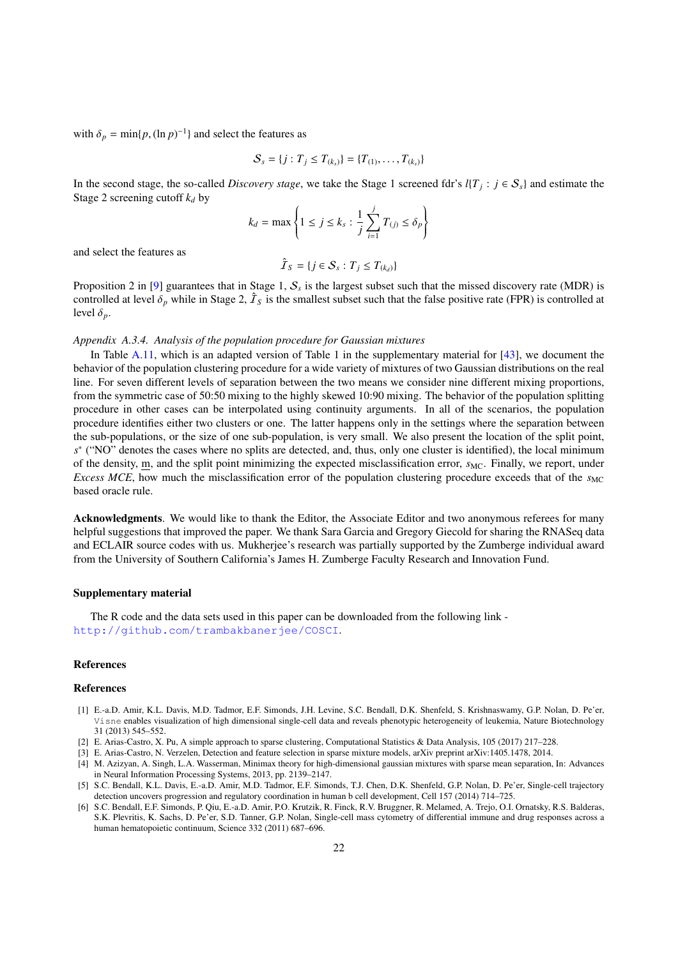with  $\delta_p = \min\{p, (\ln p)^{-1}\}\$  and select the features as

$$
S_s = \{j : T_j \leq T_{(k_s)}\} = \{T_{(1)}, \ldots, T_{(k_s)}\}
$$

In the second stage, the so-called *Discovery stage*, we take the Stage 1 screened fdr's  $l\{T_j : j \in S_s\}$  and estimate the Stage 2 screening cutoff  $k_d$  by

$$
k_d = \max\left\{1 \le j \le k_s : \frac{1}{j} \sum_{i=1}^j T_{(j)} \le \delta_p\right\}
$$

and select the features as

$$
\hat{\mathcal{I}}_S = \{ j \in \mathcal{S}_s : T_j \le T_{(k_d)} \}
$$

Proposition 2 in [\[9\]](#page-23-37) guarantees that in Stage 1,  $S_s$  is the largest subset such that the missed discovery rate (MDR) is controlled at level  $\delta_p$  while in Stage 2,  $\hat{T}_S$  is the smallest subset such that the false positive rate (FPR) is controlled at level  $\delta_p$ .

### <span id="page-21-6"></span>*Appendix A.3.4. Analysis of the population procedure for Gaussian mixtures*

In Table  $A.11$ , which is an adapted version of Table 1 in the supplementary material for  $[43]$ , we document the behavior of the population clustering procedure for a wide variety of mixtures of two Gaussian distributions on the real line. For seven different levels of separation between the two means we consider nine different mixing proportions, from the symmetric case of 50:50 mixing to the highly skewed 10:90 mixing. The behavior of the population splitting procedure in other cases can be interpolated using continuity arguments. In all of the scenarios, the population procedure identifies either two clusters or one. The latter happens only in the settings where the separation between the sub-populations, or the size of one sub-population, is very small. We also present the location of the split point,  $s^*$  ("NO" denotes the cases where no splits are detected, and, thus, only one cluster is identified), the local minimum of the density, m, and the split point minimizing the expected misclassification error,  $s_{MC}$ . Finally, we report, under *Excess MCE*, how much the misclassification error of the population clustering procedure exceeds that of the  $s_{MC}$ based oracle rule.

Acknowledgments. We would like to thank the Editor, the Associate Editor and two anonymous referees for many helpful suggestions that improved the paper. We thank Sara Garcia and Gregory Giecold for sharing the RNASeq data and ECLAIR source codes with us. Mukherjee's research was partially supported by the Zumberge individual award from the University of Southern California's James H. Zumberge Faculty Research and Innovation Fund.

#### Supplementary material

The R code and the data sets used in this paper can be downloaded from the following link <http://github.com/trambakbanerjee/COSCI>.

### References

#### References

- <span id="page-21-3"></span>[1] E.-a.D. Amir, K.L. Davis, M.D. Tadmor, E.F. Simonds, J.H. Levine, S.C. Bendall, D.K. Shenfeld, S. Krishnaswamy, G.P. Nolan, D. Pe'er, Visne enables visualization of high dimensional single-cell data and reveals phenotypic heterogeneity of leukemia, Nature Biotechnology 31 (2013) 545–552.
- <span id="page-21-5"></span>[2] E. Arias-Castro, X. Pu, A simple approach to sparse clustering, Computational Statistics & Data Analysis, 105 (2017) 217–228.
- <span id="page-21-0"></span>[3] E. Arias-Castro, N. Verzelen, Detection and feature selection in sparse mixture models, arXiv preprint arXiv:1405.1478, 2014.
- <span id="page-21-1"></span>[4] M. Azizyan, A. Singh, L.A. Wasserman, Minimax theory for high-dimensional gaussian mixtures with sparse mean separation, In: Advances in Neural Information Processing Systems, 2013, pp. 2139–2147.
- <span id="page-21-4"></span>[5] S.C. Bendall, K.L. Davis, E.-a.D. Amir, M.D. Tadmor, E.F. Simonds, T.J. Chen, D.K. Shenfeld, G.P. Nolan, D. Pe'er, Single-cell trajectory detection uncovers progression and regulatory coordination in human b cell development, Cell 157 (2014) 714–725.
- <span id="page-21-2"></span>[6] S.C. Bendall, E.F. Simonds, P. Qiu, E.-a.D. Amir, P.O. Krutzik, R. Finck, R.V. Bruggner, R. Melamed, A. Trejo, O.I. Ornatsky, R.S. Balderas, S.K. Plevritis, K. Sachs, D. Pe'er, S.D. Tanner, G.P. Nolan, Single-cell mass cytometry of differential immune and drug responses across a human hematopoietic continuum, Science 332 (2011) 687–696.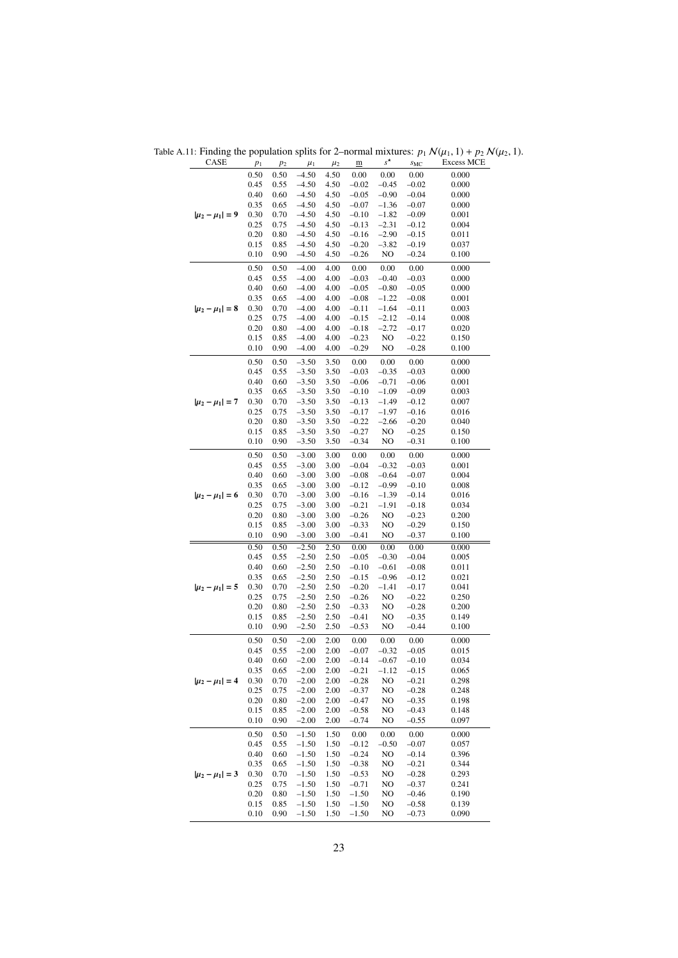<span id="page-22-0"></span>Table A.11: Finding the population splits for 2–normal mixtures:  $p_1 N(\mu_1, 1) + p_2 N(\mu_2, 1)$ .<br>CASE  $p_1 p_2 \mu_1 p_2 \underline{m} s^* s_{MC}$  Excess MCE

| CASE                  | $p_1$        | p <sub>2</sub> | $\mu_1$            | $\mu_2$      | $\underline{\mathbf{m}}$ | $s^{\star}$        | $S_{MC}$           | <b>Excess MCE</b> |
|-----------------------|--------------|----------------|--------------------|--------------|--------------------------|--------------------|--------------------|-------------------|
|                       | 0.50         | 0.50           | $-4.50$            | 4.50         | 0.00                     | 0.00               | 0.00               | 0.000             |
|                       | 0.45         | 0.55           | $-4.50$            | 4.50         | $-0.02$                  | $-0.45$            | $-0.02$            | 0.000             |
|                       | 0.40         | 0.60           | $-4.50$            | 4.50         | $-0.05$                  | $-0.90$            | $-0.04$            | 0.000             |
|                       | 0.35         | 0.65           | $-4.50$            | 4.50         | $-0.07$                  | $-1.36$            | $-0.07$            | 0.000             |
| $ \mu_2 - \mu_1  = 9$ | 0.30         | 0.70           | $-4.50$            | 4.50         | $-0.10$                  | $-1.82$            | $-0.09$            | 0.001             |
|                       | 0.25         | 0.75           | $-4.50$            | 4.50         | $-0.13$                  | $-2.31$            | $-0.12$            | 0.004             |
|                       | 0.20         | 0.80           | $-4.50$            | 4.50         | $-0.16$                  | $-2.90$            | $-0.15$            | 0.011             |
|                       | 0.15         | 0.85           | $-4.50$            | 4.50         | $-0.20$                  | $-3.82$            | $-0.19$            | 0.037             |
|                       | 0.10         | 0.90           | $-4.50$            | 4.50         | $-0.26$                  | NO                 | $-0.24$            | 0.100             |
|                       | 0.50         | 0.50           | $-4.00$            | 4.00         | 0.00                     | 0.00               | 0.00               | 0.000             |
|                       | 0.45         | 0.55           | $-4.00$            | 4.00         | $-0.03$                  | $-0.40$            | $-0.03$            | 0.000             |
|                       | 0.40         | 0.60           | $-4.00$            | 4.00         | $-0.05$                  | $-0.80$            | $-0.05$            | 0.000             |
|                       | 0.35         | 0.65           | $-4.00$            | 4.00         | $-0.08$                  | $-1.22$            | $-0.08$            | 0.001             |
| $ \mu_2 - \mu_1  = 8$ | 0.30         | 0.70           | $-4.00$            | 4.00         | $-0.11$                  | $-1.64$            | $-0.11$            | 0.003             |
|                       | 0.25         | 0.75           | $-4.00$            | 4.00         | $-0.15$                  | $-2.12$            | $-0.14$            | 0.008             |
|                       | 0.20<br>0.15 | 0.80<br>0.85   | $-4.00$<br>$-4.00$ | 4.00<br>4.00 | $-0.18$<br>$-0.23$       | $-2.72$<br>NO      | $-0.17$<br>$-0.22$ | 0.020<br>0.150    |
|                       | 0.10         | 0.90           | $-4.00$            | 4.00         | $-0.29$                  | NO                 | $-0.28$            | 0.100             |
|                       |              |                |                    |              |                          |                    |                    |                   |
|                       | 0.50         | 0.50           | $-3.50$            | 3.50         | 0.00                     | 0.00               | 0.00               | 0.000             |
|                       | 0.45         | 0.55           | $-3.50$            | 3.50         | $-0.03$                  | $-0.35$            | $-0.03$            | 0.000             |
|                       | 0.40         | 0.60           | $-3.50$            | 3.50         | $-0.06$                  | $-0.71$            | $-0.06$            | 0.001             |
|                       | 0.35         | 0.65           | $-3.50$            | 3.50         | $-0.10$                  | $-1.09$            | $-0.09$            | 0.003             |
| $ \mu_2 - \mu_1  = 7$ | 0.30<br>0.25 | 0.70<br>0.75   | $-3.50$<br>$-3.50$ | 3.50<br>3.50 | $-0.13$<br>$-0.17$       | $-1.49$<br>$-1.97$ | $-0.12$<br>$-0.16$ | 0.007<br>0.016    |
|                       | 0.20         | 0.80           | $-3.50$            | 3.50         | $-0.22$                  | $-2.66$            | $-0.20$            | 0.040             |
|                       | 0.15         | 0.85           | $-3.50$            | 3.50         | $-0.27$                  | NO                 | $-0.25$            | 0.150             |
|                       | 0.10         | 0.90           | $-3.50$            | 3.50         | $-0.34$                  | NO                 | $-0.31$            | 0.100             |
|                       |              |                |                    |              |                          |                    |                    |                   |
|                       | 0.50         | 0.50           | $-3.00$            | 3.00         | 0.00                     | 0.00               | 0.00               | 0.000             |
|                       | 0.45<br>0.40 | 0.55<br>0.60   | $-3.00$<br>$-3.00$ | 3.00<br>3.00 | $-0.04$<br>$-0.08$       | $-0.32$<br>$-0.64$ | $-0.03$            | 0.001<br>0.004    |
|                       | 0.35         | 0.65           | $-3.00$            | 3.00         | $-0.12$                  | $-0.99$            | $-0.07$<br>$-0.10$ | 0.008             |
| $ \mu_2 - \mu_1  = 6$ | 0.30         | 0.70           | $-3.00$            | 3.00         | $-0.16$                  | $-1.39$            | $-0.14$            | 0.016             |
|                       | 0.25         | 0.75           | $-3.00$            | 3.00         | $-0.21$                  | $-1.91$            | $-0.18$            | 0.034             |
|                       | 0.20         | 0.80           | $-3.00$            | 3.00         | $-0.26$                  | NO                 | $-0.23$            | 0.200             |
|                       | 0.15         | 0.85           | $-3.00$            | 3.00         | $-0.33$                  | NO                 | $-0.29$            | 0.150             |
|                       | 0.10         | 0.90           | $-3.00$            | 3.00         | $-0.41$                  | NO                 | $-0.37$            | 0.100             |
|                       | 0.50         | 0.50           | $-2.50$            | 2.50         | 0.00                     | 0.00               | 0.00               | 0.000             |
|                       | 0.45         | 0.55           | $-2.50$            | 2.50         | $-0.05$                  | $-0.30$            | $-0.04$            | 0.005             |
|                       | 0.40         | 0.60           | $-2.50$            | 2.50         | $-0.10$                  | $-0.61$            | $-0.08$            | 0.011             |
|                       | 0.35         | 0.65           | $-2.50$            | 2.50         | $-0.15$                  | $-0.96$            | $-0.12$            | 0.021             |
| $ \mu_2 - \mu_1  = 5$ | 0.30         | 0.70           | $-2.50$            | 2.50         | $-0.20$                  | $-1.41$            | $-0.17$            | 0.041             |
|                       | 0.25         | 0.75           | $-2.50$            | 2.50         | $-0.26$                  | NO                 | $-0.22$            | 0.250             |
|                       | 0.20         | 0.80           | $-2.50$            | 2.50         | $-0.33$                  | NO                 | $-0.28$            | 0.200             |
|                       | 0.15         | 0.85           | $-2.50$            | 2.50         | $-0.41$                  | NO                 | $-0.35$            | 0.149             |
|                       | 0.10         | 0.90           | $-2.50$            | 2.50         | $-0.53$                  | NO                 | $-0.44$            | 0.100             |
|                       | 0.50         | 0.50           | $-2.00$            | 2.00         | 0.00                     | $0.00\,$           | 0.00               | 0.000             |
|                       | 0.45         | 0.55           | $-2.00$            | 2.00         | $-0.07$                  | $-0.32$            | $-0.05$            | 0.015             |
|                       | 0.40         | 0.60           | $-2.00$            | 2.00         | $-0.14$                  | $-0.67$            | $-0.10$            | 0.034             |
|                       | 0.35         | 0.65           | $-2.00$            | 2.00         | $-0.21$                  | $-1.12$            | $-0.15$            | 0.065             |
| $ \mu_2 - \mu_1  = 4$ | 0.30         | 0.70           | $-2.00$            | 2.00         | $-0.28$                  | NO                 | $-0.21$            | 0.298             |
|                       | 0.25         | 0.75           | $-2.00$            | 2.00         | $-0.37$                  | NO                 | $-0.28$            | 0.248             |
|                       | 0.20         | 0.80           | $-2.00$            | 2.00         | $-0.47$                  | NO                 | $-0.35$            | 0.198             |
|                       | 0.15         | 0.85           | $-2.00$            | 2.00         | $-0.58$                  | NO                 | $-0.43$            | 0.148             |
|                       | 0.10         | 0.90           | $-2.00$            | 2.00         | $-0.74$                  | NO                 | $-0.55$            | 0.097             |
|                       | 0.50         | 0.50           | $-1.50$            | 1.50         | 0.00                     | 0.00               | 0.00               | 0.000             |
| $ \mu_2 - \mu_1  = 3$ | 0.45         | 0.55           | $-1.50$            | 1.50         | $-0.12$                  | $-0.50$            | $-0.07$            | 0.057             |
|                       | 0.40         | 0.60           | $-1.50$            | 1.50         | $-0.24$                  | NO                 | $-0.14$            | 0.396             |
|                       | 0.35         | 0.65           | $-1.50$            | 1.50         | $-0.38$                  | NO                 | $-0.21$            | 0.344             |
|                       | 0.30         | 0.70           | $-1.50$            | 1.50         | $-0.53$                  | NO                 | $-0.28$            | 0.293             |
|                       | 0.25         | 0.75           | $-1.50$            | 1.50         | $-0.71$                  | NO                 | $-0.37$            | 0.241             |
|                       | 0.20         | 0.80           | $-1.50$            | 1.50         | $-1.50$                  | NO                 | $-0.46$            | 0.190             |
|                       | 0.15         | 0.85           | $-1.50$            | 1.50         | $-1.50$                  | NO                 | $-0.58$            | 0.139             |
|                       | 0.10         | 0.90           | $-1.50$            | 1.50         | $-1.50$                  | NO                 | $-0.73$            | 0.090             |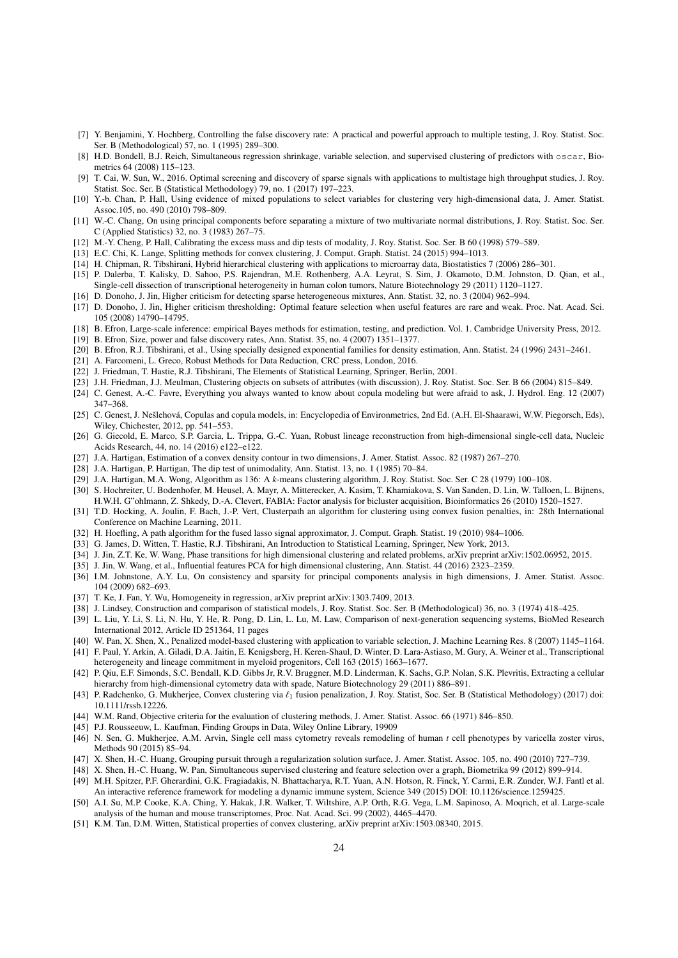- <span id="page-23-40"></span>[7] Y. Benjamini, Y. Hochberg, Controlling the false discovery rate: A practical and powerful approach to multiple testing, J. Roy. Statist. Soc. Ser. B (Methodological) 57, no. 1 (1995) 289–300.
- <span id="page-23-29"></span>[8] H.D. Bondell, B.J. Reich, Simultaneous regression shrinkage, variable selection, and supervised clustering of predictors with oscar, Biometrics 64 (2008) 115–123.
- <span id="page-23-37"></span>[9] T. Cai, W. Sun, W., 2016. Optimal screening and discovery of sparse signals with applications to multistage high throughput studies, J. Roy. Statist. Soc. Ser. B (Statistical Methodology) 79, no. 1 (2017) 197–223.
- <span id="page-23-4"></span>[10] Y.-b. Chan, P. Hall, Using evidence of mixed populations to select variables for clustering very high-dimensional data, J. Amer. Statist. Assoc.105, no. 490 (2010) 798–809.
- <span id="page-23-14"></span>[11] W.-C. Chang, On using principal components before separating a mixture of two multivariate normal distributions, J. Roy. Statist. Soc. Ser. C (Applied Statistics) 32, no. 3 (1983) 267–75.
- <span id="page-23-19"></span>[12] M.-Y. Cheng, P. Hall, Calibrating the excess mass and dip tests of modality, J. Roy. Statist. Soc. Ser. B 60 (1998) 579–589.
- <span id="page-23-27"></span>[13] E.C. Chi, K. Lange, Splitting methods for convex clustering, J. Comput. Graph. Statist. 24 (2015) 994–1013.
- <span id="page-23-17"></span>[14] H. Chipman, R. Tibshirani, Hybrid hierarchical clustering with applications to microarray data, Biostatistics 7 (2006) 286–301.
- <span id="page-23-9"></span>[15] P. Dalerba, T. Kalisky, D. Sahoo, P.S. Rajendran, M.E. Rothenberg, A.A. Leyrat, S. Sim, J. Okamoto, D.M. Johnston, D. Qian, et al., Single-cell dissection of transcriptional heterogeneity in human colon tumors, Nature Biotechnology 29 (2011) 1120–1127.
- <span id="page-23-23"></span>[16] D. Donoho, J. Jin, Higher criticism for detecting sparse heterogeneous mixtures, Ann. Statist. 32, no. 3 (2004) 962–994.
- <span id="page-23-24"></span>[17] D. Donoho, J. Jin, Higher criticism thresholding: Optimal feature selection when useful features are rare and weak. Proc. Nat. Acad. Sci. 105 (2008) 14790–14795.
- <span id="page-23-34"></span>[18] B. Efron, Large-scale inference: empirical Bayes methods for estimation, testing, and prediction. Vol. 1. Cambridge University Press, 2012.
- <span id="page-23-33"></span>[19] B. Efron, Size, power and false discovery rates, Ann. Statist. 35, no. 4 (2007) 1351–1377.
- <span id="page-23-35"></span>[20] B. Efron, R.J. Tibshirani, et al., Using specially designed exponential families for density estimation, Ann. Statist. 24 (1996) 2431–2461.
- <span id="page-23-0"></span>[21] A. Farcomeni, L. Greco, Robust Methods for Data Reduction, CRC press, London, 2016.
- <span id="page-23-3"></span>[22] J. Friedman, T. Hastie, R.J. Tibshirani, The Elements of Statistical Learning, Springer, Berlin, 2001.
- <span id="page-23-20"></span>[23] J.H. Friedman, J.J. Meulman, Clustering objects on subsets of attributes (with discussion), J. Roy. Statist. Soc. Ser. B 66 (2004) 815–849.
- <span id="page-23-43"></span>[24] C. Genest, A.-C. Favre, Everything you always wanted to know about copula modeling but were afraid to ask, J. Hydrol. Eng. 12 (2007) 347–368.
- <span id="page-23-44"></span>[25] C. Genest, J. Nešlehová, Copulas and copula models, in: Encyclopedia of Environmetrics, 2nd Ed. (A.H. El-Shaarawi, W.W. Piegorsch, Eds), Wiley, Chichester, 2012, pp. 541–553.
- <span id="page-23-10"></span>[26] G. Giecold, E. Marco, S.P. Garcia, L. Trippa, G.-C. Yuan, Robust lineage reconstruction from high-dimensional single-cell data, Nucleic Acids Research, 44, no. 14 (2016) e122–e122.
- <span id="page-23-38"></span>[27] J.A. Hartigan, Estimation of a convex density contour in two dimensions, J. Amer. Statist. Assoc. 82 (1987) 267–270.
- <span id="page-23-39"></span>[28] J.A. Hartigan, P. Hartigan, The dip test of unimodality, Ann. Statist. 13, no. 1 (1985) 70–84.
- <span id="page-23-1"></span>[29] J.A. Hartigan, M.A. Wong, Algorithm as 136: A *k*-means clustering algorithm, J. Roy. Statist. Soc. Ser. C 28 (1979) 100–108.
- <span id="page-23-42"></span>[30] S. Hochreiter, U. Bodenhofer, M. Heusel, A. Mayr, A. Mitterecker, A. Kasim, T. Khamiakova, S. Van Sanden, D. Lin, W. Talloen, L. Bijnens, H.W.H. G"ohlmann, Z. Shkedy, D.-A. Clevert, FABIA: Factor analysis for bicluster acquisition, Bioinformatics 26 (2010) 1520–1527.
- <span id="page-23-25"></span>[31] T.D. Hocking, A. Joulin, F. Bach, J.-P. Vert, Clusterpath an algorithm for clustering using convex fusion penalties, in: 28th International Conference on Machine Learning, 2011.
- <span id="page-23-26"></span>[32] H. Hoefling, A path algorithm for the fused lasso signal approximator, J. Comput. Graph. Statist. 19 (2010) 984–1006.
- <span id="page-23-7"></span>[33] G. James, D. Witten, T. Hastie, R.J. Tibshirani, An Introduction to Statistical Learning, Springer, New York, 2013.
- <span id="page-23-22"></span>[34] J. Jin, Z.T. Ke, W. Wang, Phase transitions for high dimensional clustering and related problems, arXiv preprint arXiv:1502.06952, 2015.
- <span id="page-23-5"></span>[35] J. Jin, W. Wang, et al., Influential features PCA for high dimensional clustering, Ann. Statist. 44 (2016) 2323–2359.
- <span id="page-23-15"></span>[36] I.M. Johnstone, A.Y. Lu, On consistency and sparsity for principal components analysis in high dimensions, J. Amer. Statist. Assoc. 104 (2009) 682–693.
- <span id="page-23-30"></span>[37] T. Ke, J. Fan, Y. Wu, Homogeneity in regression, arXiv preprint arXiv:1303.7409, 2013.
- <span id="page-23-36"></span>[38] J. Lindsey, Construction and comparison of statistical models, J. Roy. Statist. Soc. Ser. B (Methodological) 36, no. 3 (1974) 418–425.
- <span id="page-23-8"></span>[39] L. Liu, Y. Li, S. Li, N. Hu, Y. He, R. Pong, D. Lin, L. Lu, M. Law, Comparison of next-generation sequencing systems, BioMed Research International 2012, Article ID 251364, 11 pages
- <span id="page-23-21"></span>[40] W. Pan, X. Shen, X., Penalized model-based clustering with application to variable selection, J. Machine Learning Res. 8 (2007) 1145–1164.
- <span id="page-23-16"></span>[41] F. Paul, Y. Arkin, A. Giladi, D.A. Jaitin, E. Kenigsberg, H. Keren-Shaul, D. Winter, D. Lara-Astiaso, M. Gury, A. Weiner et al., Transcriptional heterogeneity and lineage commitment in myeloid progenitors, Cell 163 (2015) 1663–1677.
- <span id="page-23-11"></span>[42] P. Qiu, E.F. Simonds, S.C. Bendall, K.D. Gibbs Jr, R.V. Bruggner, M.D. Linderman, K. Sachs, G.P. Nolan, S.K. Plevritis, Extracting a cellular hierarchy from high-dimensional cytometry data with spade, Nature Biotechnology 29 (2011) 886–891.
- <span id="page-23-6"></span>[43] P. Radchenko, G. Mukherjee, Convex clustering via  $\ell_1$  fusion penalization, J. Roy. Statist, Soc. Ser. B (Statistical Methodology) (2017) doi: 10.1111/rssb.12226.
- <span id="page-23-18"></span>[44] W.M. Rand, Objective criteria for the evaluation of clustering methods, J. Amer. Statist. Assoc. 66 (1971) 846–850.
- <span id="page-23-2"></span>[45] P.J. Rousseeuw, L. Kaufman, Finding Groups in Data, Wiley Online Library, 19909
- <span id="page-23-12"></span>[46] N. Sen, G. Mukherjee, A.M. Arvin, Single cell mass cytometry reveals remodeling of human *t* cell phenotypes by varicella zoster virus, Methods 90 (2015) 85–94.
- <span id="page-23-31"></span>[47] X. Shen, H.-C. Huang, Grouping pursuit through a regularization solution surface, J. Amer. Statist. Assoc. 105, no. 490 (2010) 727–739.
- <span id="page-23-32"></span>[48] X. Shen, H.-C. Huang, W. Pan, Simultaneous supervised clustering and feature selection over a graph, Biometrika 99 (2012) 899–914.
- <span id="page-23-13"></span>[49] M.H. Spitzer, P.F. Gherardini, G.K. Fragiadakis, N. Bhattacharya, R.T. Yuan, A.N. Hotson, R. Finck, Y. Carmi, E.R. Zunder, W.J. Fantl et al. An interactive reference framework for modeling a dynamic immune system, Science 349 (2015) DOI: 10.1126/science.1259425.
- <span id="page-23-41"></span>[50] A.I. Su, M.P. Cooke, K.A. Ching, Y. Hakak, J.R. Walker, T. Wiltshire, A.P. Orth, R.G. Vega, L.M. Sapinoso, A. Moqrich, et al. Large-scale analysis of the human and mouse transcriptomes, Proc. Nat. Acad. Sci. 99 (2002), 4465–4470.
- <span id="page-23-28"></span>[51] K.M. Tan, D.M. Witten, Statistical properties of convex clustering, arXiv preprint arXiv:1503.08340, 2015.